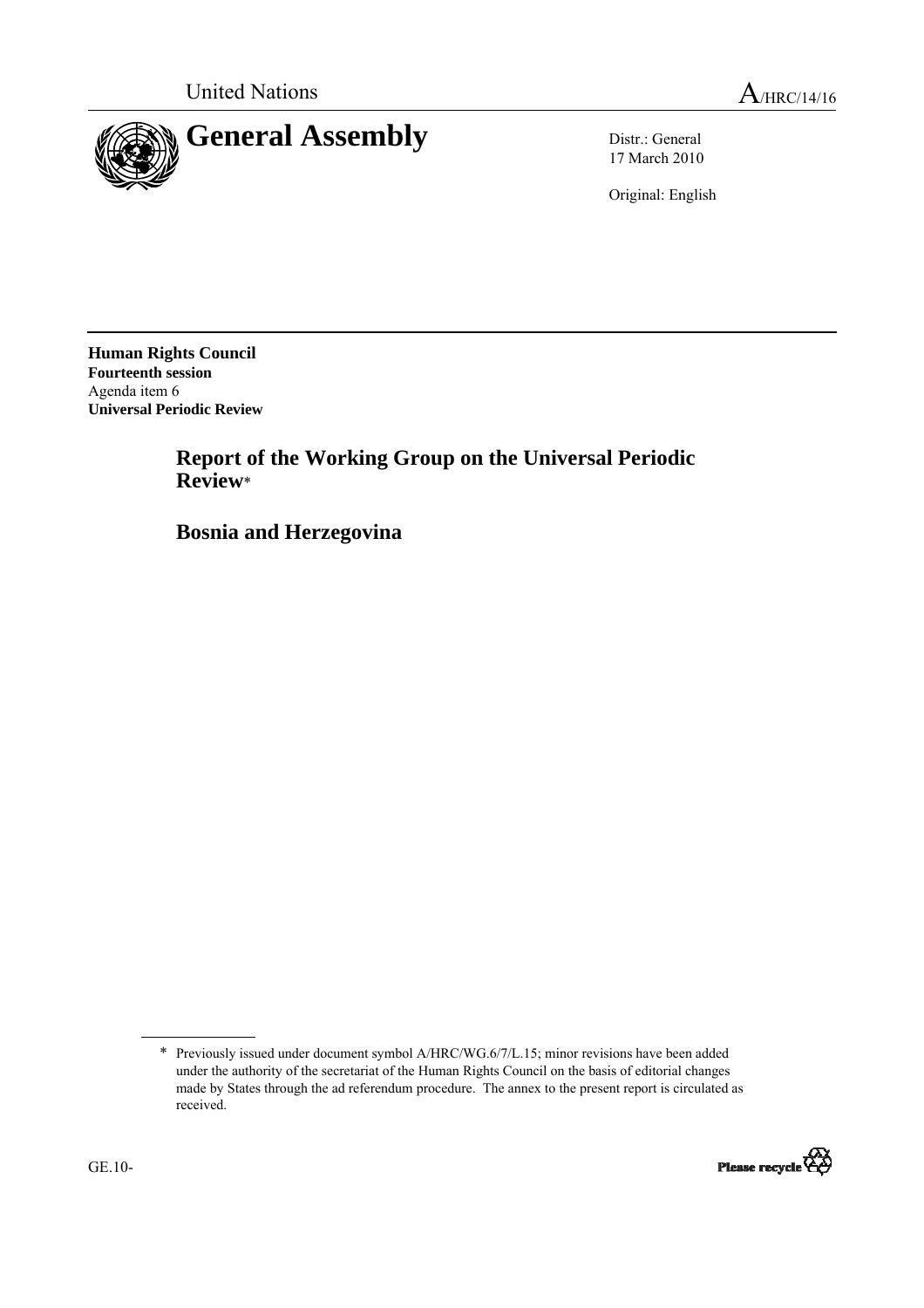

17 March 2010

Original: English

**Human Rights Council Fourteenth session**  Agenda item 6 **Universal Periodic Review** 

> **Report of the Working Group on the Universal Periodic Review**\*

 **Bosnia and Herzegovina** 

<sup>\*</sup> Previously issued under document symbol A/HRC/WG.6/7/L.15; minor revisions have been added under the authority of the secretariat of the Human Rights Council on the basis of editorial changes made by States through the ad referendum procedure. The annex to the present report is circulated as received.

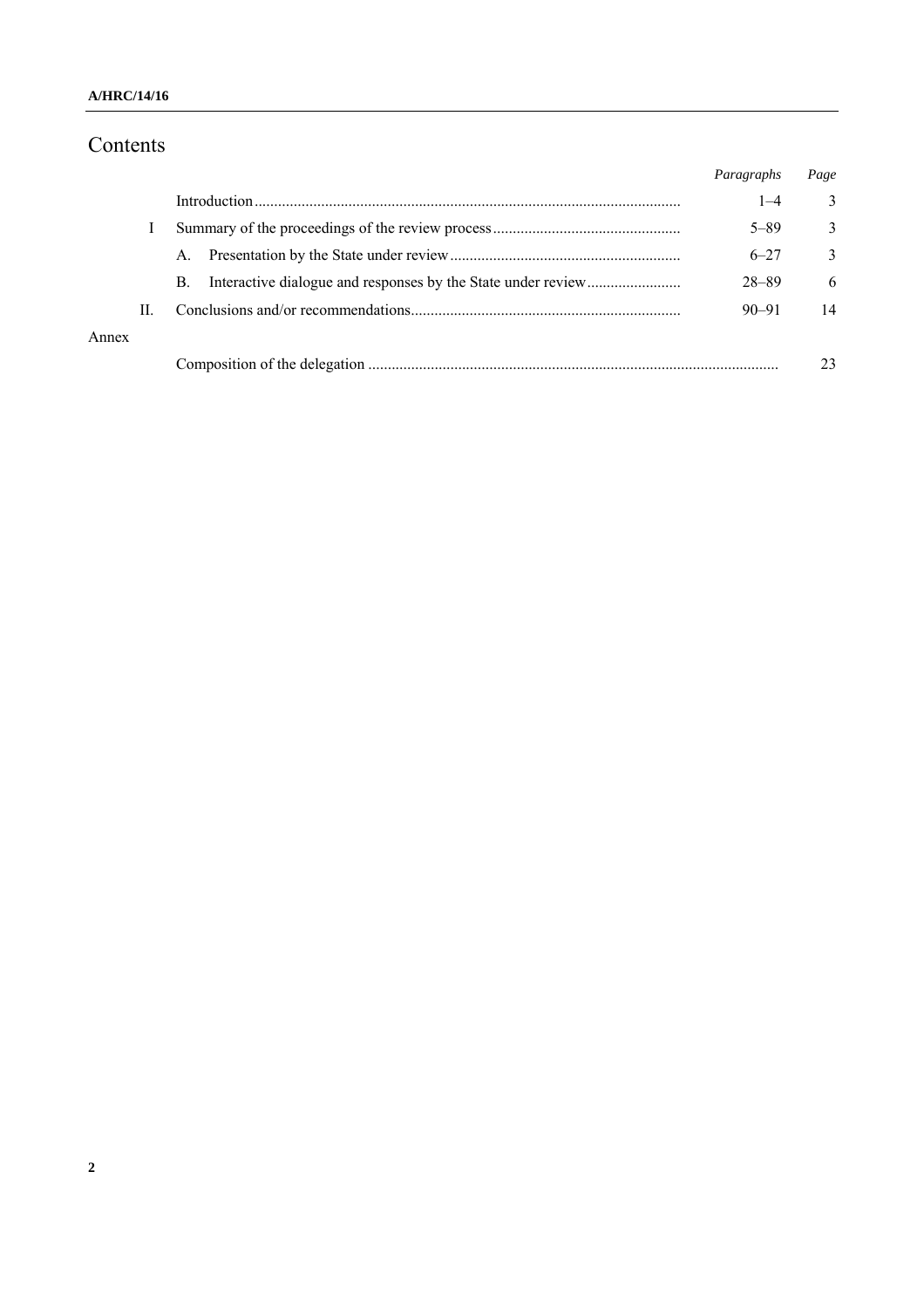# Contents

|       |    |             | Paragraphs | Page |
|-------|----|-------------|------------|------|
|       |    |             | $1 - 4$    | 3    |
|       |    |             | $5 - 89$   | 3    |
|       |    | $A_{\cdot}$ | $6 - 27$   | 3    |
|       |    | B.          | 28-89      | 6    |
|       | П. |             | $90 - 91$  | 14   |
| Annex |    |             |            |      |
|       |    |             |            |      |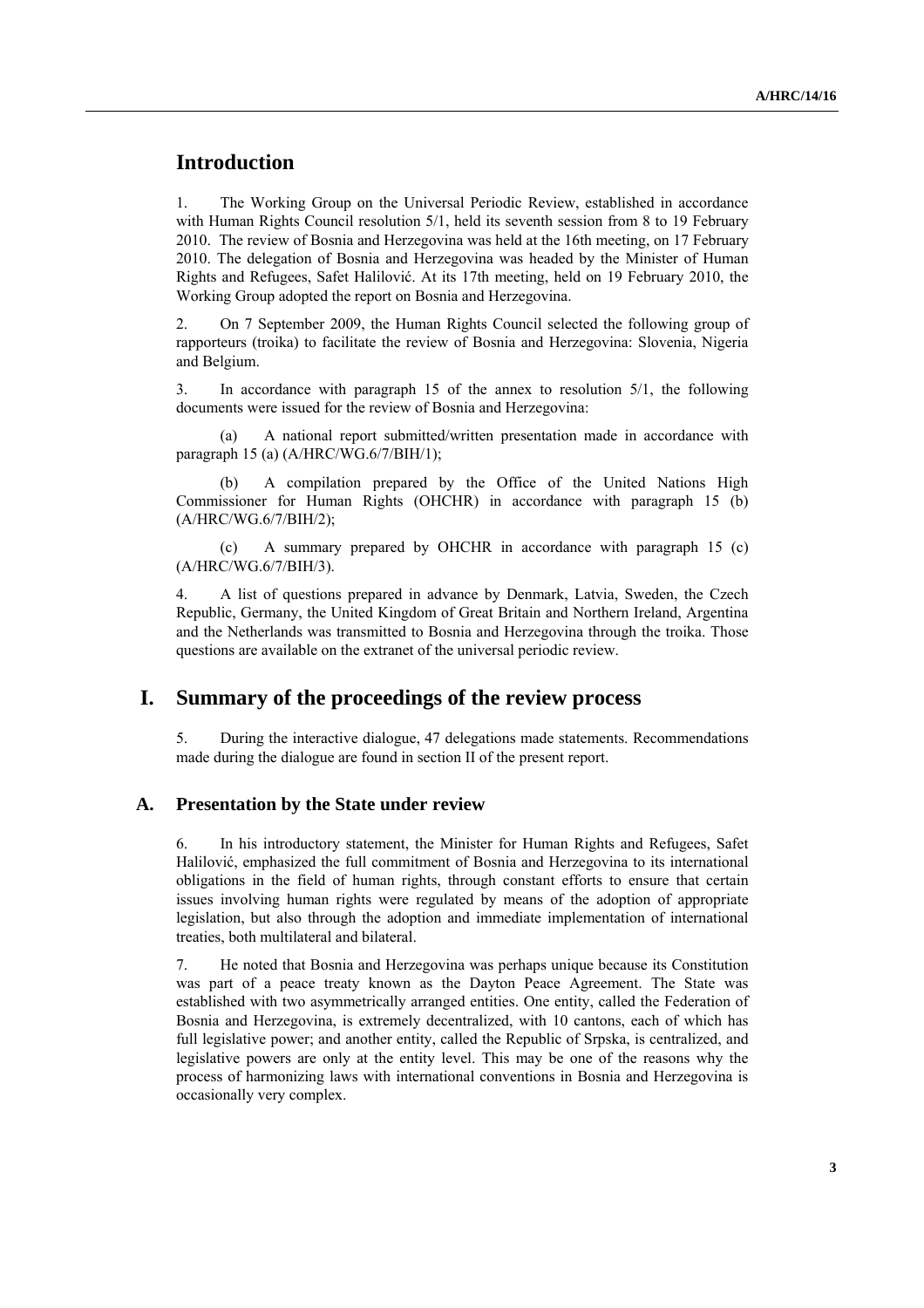## **Introduction**

1. The Working Group on the Universal Periodic Review, established in accordance with Human Rights Council resolution 5/1, held its seventh session from 8 to 19 February 2010. The review of Bosnia and Herzegovina was held at the 16th meeting, on 17 February 2010. The delegation of Bosnia and Herzegovina was headed by the Minister of Human Rights and Refugees, Safet Halilović. At its 17th meeting, held on 19 February 2010, the Working Group adopted the report on Bosnia and Herzegovina.

2. On 7 September 2009, the Human Rights Council selected the following group of rapporteurs (troika) to facilitate the review of Bosnia and Herzegovina: Slovenia, Nigeria and Belgium.

3. In accordance with paragraph 15 of the annex to resolution 5/1, the following documents were issued for the review of Bosnia and Herzegovina:

(a) A national report submitted/written presentation made in accordance with paragraph 15 (a) (A/HRC/WG.6/7/BIH/1);

A compilation prepared by the Office of the United Nations High Commissioner for Human Rights (OHCHR) in accordance with paragraph 15 (b) (A/HRC/WG.6/7/BIH/2);

(c) A summary prepared by OHCHR in accordance with paragraph 15 (c) (A/HRC/WG.6/7/BIH/3).

4. A list of questions prepared in advance by Denmark, Latvia, Sweden, the Czech Republic, Germany, the United Kingdom of Great Britain and Northern Ireland, Argentina and the Netherlands was transmitted to Bosnia and Herzegovina through the troika. Those questions are available on the extranet of the universal periodic review.

## **I. Summary of the proceedings of the review process**

5. During the interactive dialogue, 47 delegations made statements. Recommendations made during the dialogue are found in section II of the present report.

#### **A. Presentation by the State under review**

6. In his introductory statement, the Minister for Human Rights and Refugees, Safet Halilović, emphasized the full commitment of Bosnia and Herzegovina to its international obligations in the field of human rights, through constant efforts to ensure that certain issues involving human rights were regulated by means of the adoption of appropriate legislation, but also through the adoption and immediate implementation of international treaties, both multilateral and bilateral.

7. He noted that Bosnia and Herzegovina was perhaps unique because its Constitution was part of a peace treaty known as the Dayton Peace Agreement. The State was established with two asymmetrically arranged entities. One entity, called the Federation of Bosnia and Herzegovina, is extremely decentralized, with 10 cantons, each of which has full legislative power; and another entity, called the Republic of Srpska, is centralized, and legislative powers are only at the entity level. This may be one of the reasons why the process of harmonizing laws with international conventions in Bosnia and Herzegovina is occasionally very complex.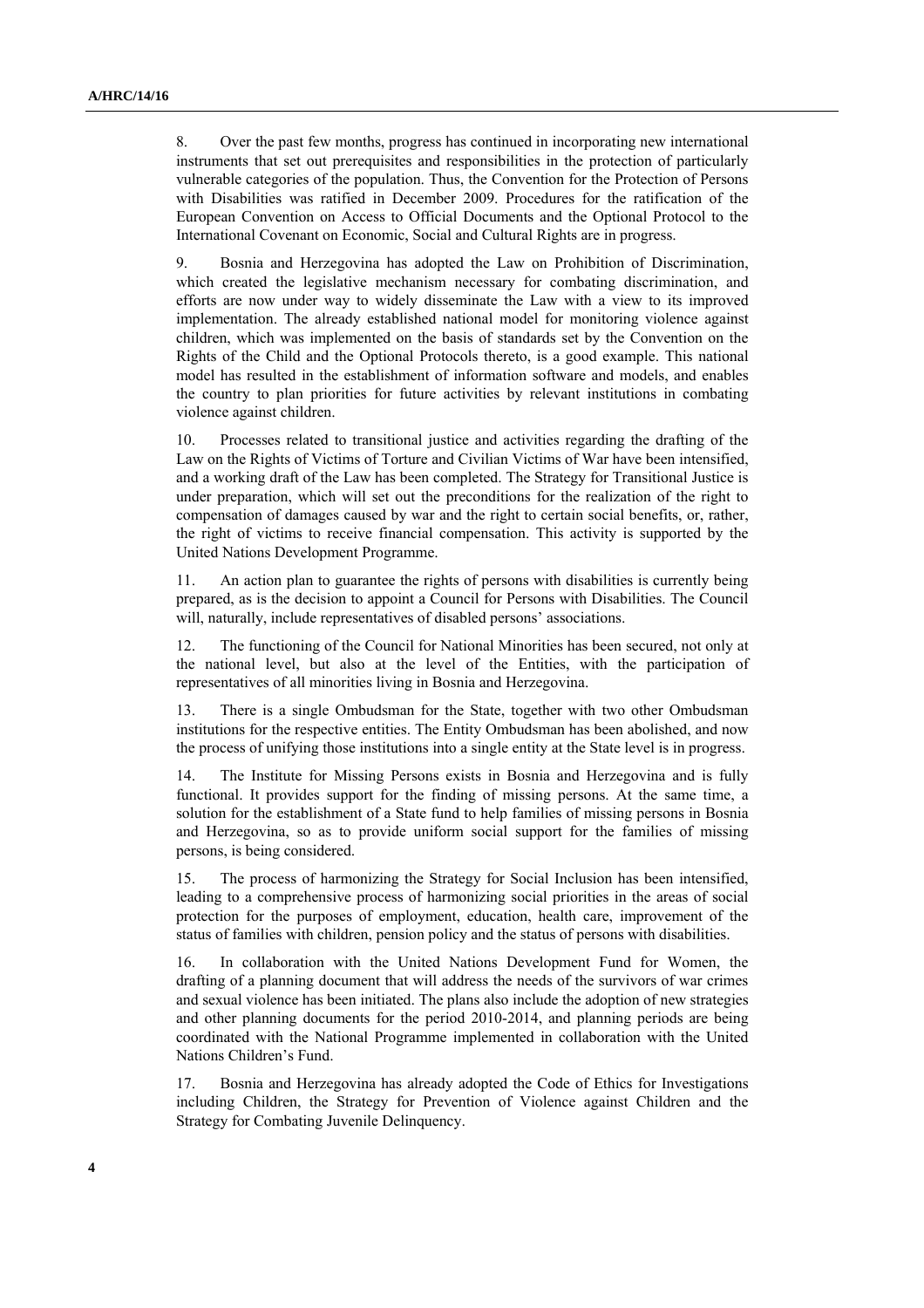8. Over the past few months, progress has continued in incorporating new international instruments that set out prerequisites and responsibilities in the protection of particularly vulnerable categories of the population. Thus, the Convention for the Protection of Persons with Disabilities was ratified in December 2009. Procedures for the ratification of the European Convention on Access to Official Documents and the Optional Protocol to the International Covenant on Economic, Social and Cultural Rights are in progress.

9. Bosnia and Herzegovina has adopted the Law on Prohibition of Discrimination, which created the legislative mechanism necessary for combating discrimination, and efforts are now under way to widely disseminate the Law with a view to its improved implementation. The already established national model for monitoring violence against children, which was implemented on the basis of standards set by the Convention on the Rights of the Child and the Optional Protocols thereto, is a good example. This national model has resulted in the establishment of information software and models, and enables the country to plan priorities for future activities by relevant institutions in combating violence against children.

10. Processes related to transitional justice and activities regarding the drafting of the Law on the Rights of Victims of Torture and Civilian Victims of War have been intensified, and a working draft of the Law has been completed. The Strategy for Transitional Justice is under preparation, which will set out the preconditions for the realization of the right to compensation of damages caused by war and the right to certain social benefits, or, rather, the right of victims to receive financial compensation. This activity is supported by the United Nations Development Programme.

11. An action plan to guarantee the rights of persons with disabilities is currently being prepared, as is the decision to appoint a Council for Persons with Disabilities. The Council will, naturally, include representatives of disabled persons' associations.

12. The functioning of the Council for National Minorities has been secured, not only at the national level, but also at the level of the Entities, with the participation of representatives of all minorities living in Bosnia and Herzegovina.

13. There is a single Ombudsman for the State, together with two other Ombudsman institutions for the respective entities. The Entity Ombudsman has been abolished, and now the process of unifying those institutions into a single entity at the State level is in progress.

14. The Institute for Missing Persons exists in Bosnia and Herzegovina and is fully functional. It provides support for the finding of missing persons. At the same time, a solution for the establishment of a State fund to help families of missing persons in Bosnia and Herzegovina, so as to provide uniform social support for the families of missing persons, is being considered.

15. The process of harmonizing the Strategy for Social Inclusion has been intensified, leading to a comprehensive process of harmonizing social priorities in the areas of social protection for the purposes of employment, education, health care, improvement of the status of families with children, pension policy and the status of persons with disabilities.

16. In collaboration with the United Nations Development Fund for Women, the drafting of a planning document that will address the needs of the survivors of war crimes and sexual violence has been initiated. The plans also include the adoption of new strategies and other planning documents for the period 2010-2014, and planning periods are being coordinated with the National Programme implemented in collaboration with the United Nations Children's Fund.

17. Bosnia and Herzegovina has already adopted the Code of Ethics for Investigations including Children, the Strategy for Prevention of Violence against Children and the Strategy for Combating Juvenile Delinquency.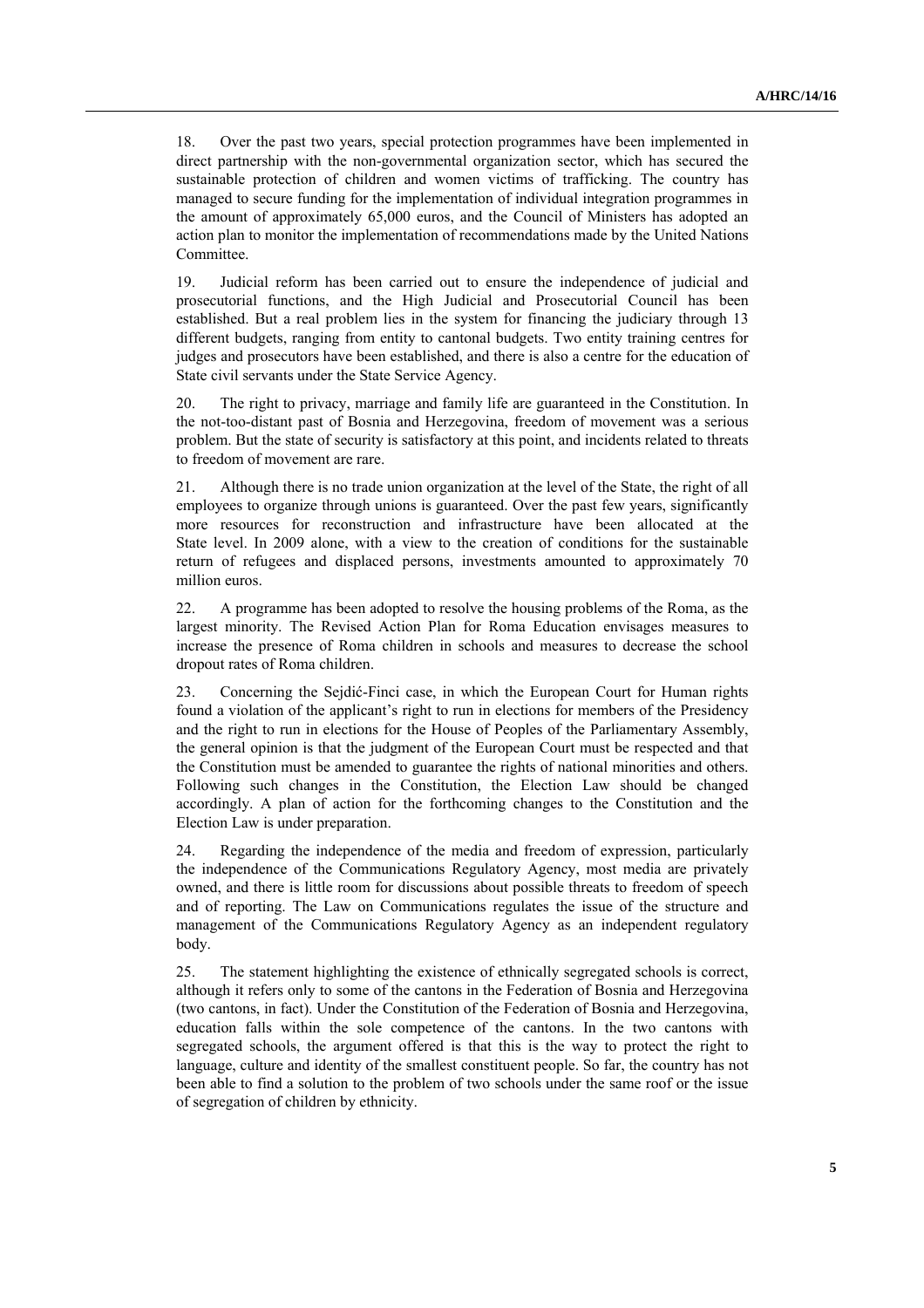18. Over the past two years, special protection programmes have been implemented in direct partnership with the non-governmental organization sector, which has secured the sustainable protection of children and women victims of trafficking. The country has managed to secure funding for the implementation of individual integration programmes in the amount of approximately 65,000 euros, and the Council of Ministers has adopted an action plan to monitor the implementation of recommendations made by the United Nations **Committee** 

19. Judicial reform has been carried out to ensure the independence of judicial and prosecutorial functions, and the High Judicial and Prosecutorial Council has been established. But a real problem lies in the system for financing the judiciary through 13 different budgets, ranging from entity to cantonal budgets. Two entity training centres for judges and prosecutors have been established, and there is also a centre for the education of State civil servants under the State Service Agency.

20. The right to privacy, marriage and family life are guaranteed in the Constitution. In the not-too-distant past of Bosnia and Herzegovina, freedom of movement was a serious problem. But the state of security is satisfactory at this point, and incidents related to threats to freedom of movement are rare.

21. Although there is no trade union organization at the level of the State, the right of all employees to organize through unions is guaranteed. Over the past few years, significantly more resources for reconstruction and infrastructure have been allocated at the State level. In 2009 alone, with a view to the creation of conditions for the sustainable return of refugees and displaced persons, investments amounted to approximately 70 million euros.

22. A programme has been adopted to resolve the housing problems of the Roma, as the largest minority. The Revised Action Plan for Roma Education envisages measures to increase the presence of Roma children in schools and measures to decrease the school dropout rates of Roma children.

23. Concerning the Sejdić-Finci case, in which the European Court for Human rights found a violation of the applicant's right to run in elections for members of the Presidency and the right to run in elections for the House of Peoples of the Parliamentary Assembly, the general opinion is that the judgment of the European Court must be respected and that the Constitution must be amended to guarantee the rights of national minorities and others. Following such changes in the Constitution, the Election Law should be changed accordingly. A plan of action for the forthcoming changes to the Constitution and the Election Law is under preparation.

24. Regarding the independence of the media and freedom of expression, particularly the independence of the Communications Regulatory Agency, most media are privately owned, and there is little room for discussions about possible threats to freedom of speech and of reporting. The Law on Communications regulates the issue of the structure and management of the Communications Regulatory Agency as an independent regulatory body.

25. The statement highlighting the existence of ethnically segregated schools is correct, although it refers only to some of the cantons in the Federation of Bosnia and Herzegovina (two cantons, in fact). Under the Constitution of the Federation of Bosnia and Herzegovina, education falls within the sole competence of the cantons. In the two cantons with segregated schools, the argument offered is that this is the way to protect the right to language, culture and identity of the smallest constituent people. So far, the country has not been able to find a solution to the problem of two schools under the same roof or the issue of segregation of children by ethnicity.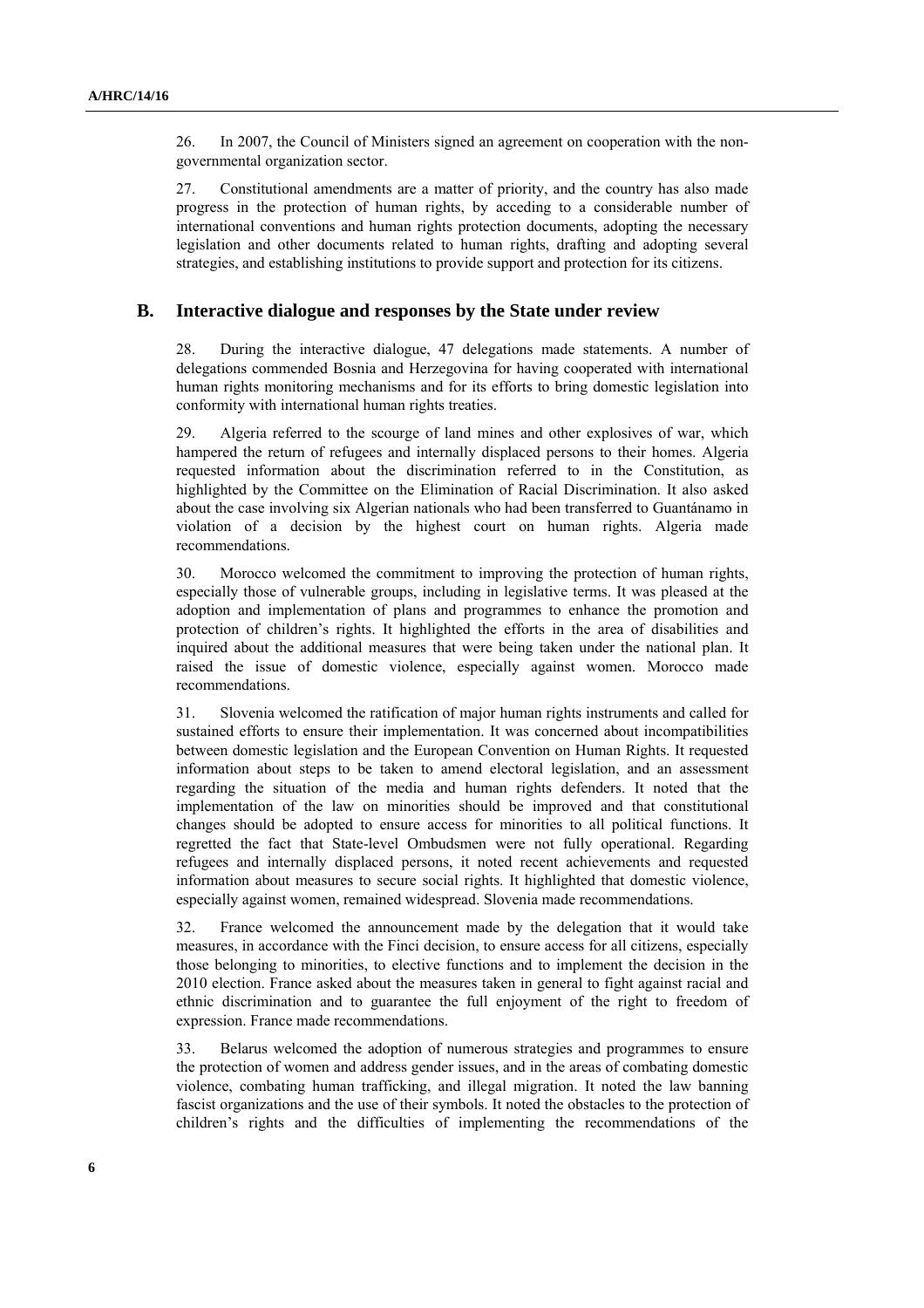26. In 2007, the Council of Ministers signed an agreement on cooperation with the nongovernmental organization sector.

27. Constitutional amendments are a matter of priority, and the country has also made progress in the protection of human rights, by acceding to a considerable number of international conventions and human rights protection documents, adopting the necessary legislation and other documents related to human rights, drafting and adopting several strategies, and establishing institutions to provide support and protection for its citizens.

#### **B. Interactive dialogue and responses by the State under review**

28. During the interactive dialogue, 47 delegations made statements. A number of delegations commended Bosnia and Herzegovina for having cooperated with international human rights monitoring mechanisms and for its efforts to bring domestic legislation into conformity with international human rights treaties.

29. Algeria referred to the scourge of land mines and other explosives of war, which hampered the return of refugees and internally displaced persons to their homes. Algeria requested information about the discrimination referred to in the Constitution, as highlighted by the Committee on the Elimination of Racial Discrimination. It also asked about the case involving six Algerian nationals who had been transferred to Guantánamo in violation of a decision by the highest court on human rights. Algeria made recommendations.

30. Morocco welcomed the commitment to improving the protection of human rights, especially those of vulnerable groups, including in legislative terms. It was pleased at the adoption and implementation of plans and programmes to enhance the promotion and protection of children's rights. It highlighted the efforts in the area of disabilities and inquired about the additional measures that were being taken under the national plan. It raised the issue of domestic violence, especially against women. Morocco made recommendations.

31. Slovenia welcomed the ratification of major human rights instruments and called for sustained efforts to ensure their implementation. It was concerned about incompatibilities between domestic legislation and the European Convention on Human Rights. It requested information about steps to be taken to amend electoral legislation, and an assessment regarding the situation of the media and human rights defenders. It noted that the implementation of the law on minorities should be improved and that constitutional changes should be adopted to ensure access for minorities to all political functions. It regretted the fact that State-level Ombudsmen were not fully operational. Regarding refugees and internally displaced persons, it noted recent achievements and requested information about measures to secure social rights. It highlighted that domestic violence, especially against women, remained widespread. Slovenia made recommendations.

32. France welcomed the announcement made by the delegation that it would take measures, in accordance with the Finci decision, to ensure access for all citizens, especially those belonging to minorities, to elective functions and to implement the decision in the 2010 election. France asked about the measures taken in general to fight against racial and ethnic discrimination and to guarantee the full enjoyment of the right to freedom of expression. France made recommendations.

33. Belarus welcomed the adoption of numerous strategies and programmes to ensure the protection of women and address gender issues, and in the areas of combating domestic violence, combating human trafficking, and illegal migration. It noted the law banning fascist organizations and the use of their symbols. It noted the obstacles to the protection of children's rights and the difficulties of implementing the recommendations of the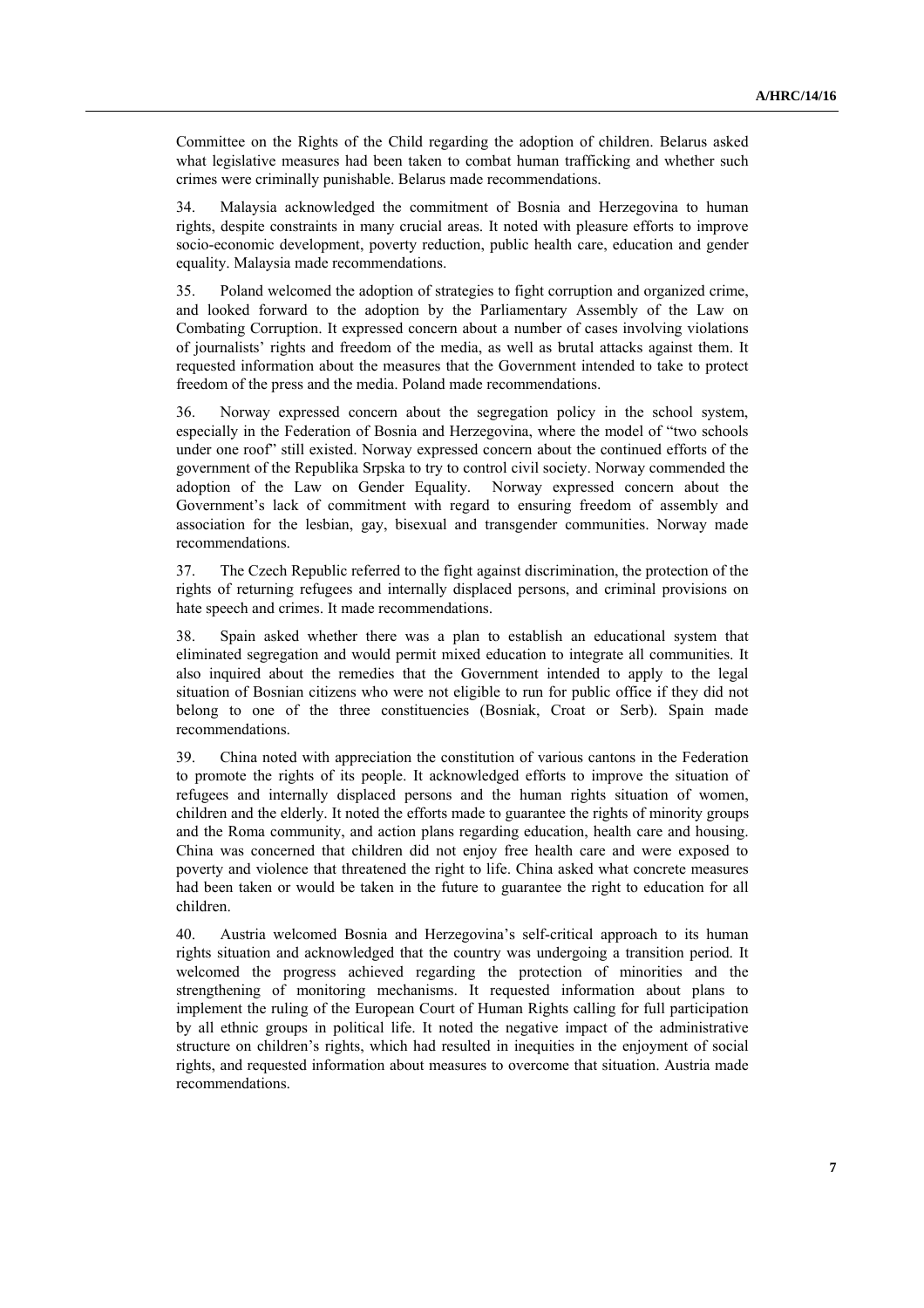Committee on the Rights of the Child regarding the adoption of children. Belarus asked what legislative measures had been taken to combat human trafficking and whether such crimes were criminally punishable. Belarus made recommendations.

34. Malaysia acknowledged the commitment of Bosnia and Herzegovina to human rights, despite constraints in many crucial areas. It noted with pleasure efforts to improve socio-economic development, poverty reduction, public health care, education and gender equality. Malaysia made recommendations.

35. Poland welcomed the adoption of strategies to fight corruption and organized crime, and looked forward to the adoption by the Parliamentary Assembly of the Law on Combating Corruption. It expressed concern about a number of cases involving violations of journalists' rights and freedom of the media, as well as brutal attacks against them. It requested information about the measures that the Government intended to take to protect freedom of the press and the media. Poland made recommendations.

36. Norway expressed concern about the segregation policy in the school system, especially in the Federation of Bosnia and Herzegovina, where the model of "two schools under one roof" still existed. Norway expressed concern about the continued efforts of the government of the Republika Srpska to try to control civil society. Norway commended the adoption of the Law on Gender Equality. Norway expressed concern about the Government's lack of commitment with regard to ensuring freedom of assembly and association for the lesbian, gay, bisexual and transgender communities. Norway made recommendations.

37. The Czech Republic referred to the fight against discrimination, the protection of the rights of returning refugees and internally displaced persons, and criminal provisions on hate speech and crimes. It made recommendations.

38. Spain asked whether there was a plan to establish an educational system that eliminated segregation and would permit mixed education to integrate all communities. It also inquired about the remedies that the Government intended to apply to the legal situation of Bosnian citizens who were not eligible to run for public office if they did not belong to one of the three constituencies (Bosniak, Croat or Serb). Spain made recommendations.

39. China noted with appreciation the constitution of various cantons in the Federation to promote the rights of its people. It acknowledged efforts to improve the situation of refugees and internally displaced persons and the human rights situation of women, children and the elderly. It noted the efforts made to guarantee the rights of minority groups and the Roma community, and action plans regarding education, health care and housing. China was concerned that children did not enjoy free health care and were exposed to poverty and violence that threatened the right to life. China asked what concrete measures had been taken or would be taken in the future to guarantee the right to education for all children.

40. Austria welcomed Bosnia and Herzegovina's self-critical approach to its human rights situation and acknowledged that the country was undergoing a transition period. It welcomed the progress achieved regarding the protection of minorities and the strengthening of monitoring mechanisms. It requested information about plans to implement the ruling of the European Court of Human Rights calling for full participation by all ethnic groups in political life. It noted the negative impact of the administrative structure on children's rights, which had resulted in inequities in the enjoyment of social rights, and requested information about measures to overcome that situation. Austria made recommendations.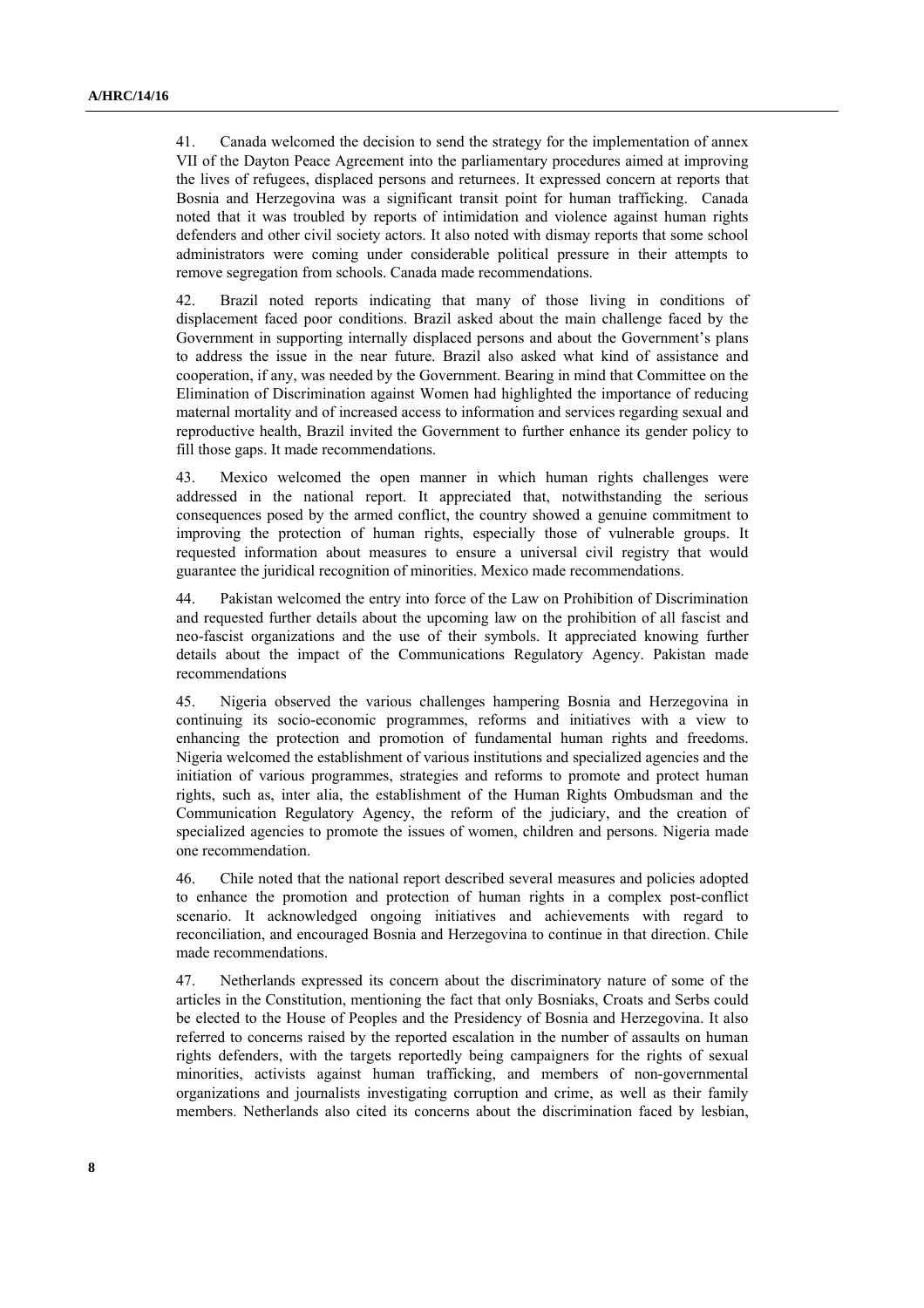41. Canada welcomed the decision to send the strategy for the implementation of annex VII of the Dayton Peace Agreement into the parliamentary procedures aimed at improving the lives of refugees, displaced persons and returnees. It expressed concern at reports that Bosnia and Herzegovina was a significant transit point for human trafficking. Canada noted that it was troubled by reports of intimidation and violence against human rights defenders and other civil society actors. It also noted with dismay reports that some school administrators were coming under considerable political pressure in their attempts to remove segregation from schools. Canada made recommendations.

42. Brazil noted reports indicating that many of those living in conditions of displacement faced poor conditions. Brazil asked about the main challenge faced by the Government in supporting internally displaced persons and about the Government's plans to address the issue in the near future. Brazil also asked what kind of assistance and cooperation, if any, was needed by the Government. Bearing in mind that Committee on the Elimination of Discrimination against Women had highlighted the importance of reducing maternal mortality and of increased access to information and services regarding sexual and reproductive health, Brazil invited the Government to further enhance its gender policy to fill those gaps. It made recommendations.

43. Mexico welcomed the open manner in which human rights challenges were addressed in the national report. It appreciated that, notwithstanding the serious consequences posed by the armed conflict, the country showed a genuine commitment to improving the protection of human rights, especially those of vulnerable groups. It requested information about measures to ensure a universal civil registry that would guarantee the juridical recognition of minorities. Mexico made recommendations.

44. Pakistan welcomed the entry into force of the Law on Prohibition of Discrimination and requested further details about the upcoming law on the prohibition of all fascist and neo-fascist organizations and the use of their symbols. It appreciated knowing further details about the impact of the Communications Regulatory Agency. Pakistan made recommendations

45. Nigeria observed the various challenges hampering Bosnia and Herzegovina in continuing its socio-economic programmes, reforms and initiatives with a view to enhancing the protection and promotion of fundamental human rights and freedoms. Nigeria welcomed the establishment of various institutions and specialized agencies and the initiation of various programmes, strategies and reforms to promote and protect human rights, such as, inter alia, the establishment of the Human Rights Ombudsman and the Communication Regulatory Agency, the reform of the judiciary, and the creation of specialized agencies to promote the issues of women, children and persons. Nigeria made one recommendation.

46. Chile noted that the national report described several measures and policies adopted to enhance the promotion and protection of human rights in a complex post-conflict scenario. It acknowledged ongoing initiatives and achievements with regard to reconciliation, and encouraged Bosnia and Herzegovina to continue in that direction. Chile made recommendations.

47. Netherlands expressed its concern about the discriminatory nature of some of the articles in the Constitution, mentioning the fact that only Bosniaks, Croats and Serbs could be elected to the House of Peoples and the Presidency of Bosnia and Herzegovina. It also referred to concerns raised by the reported escalation in the number of assaults on human rights defenders, with the targets reportedly being campaigners for the rights of sexual minorities, activists against human trafficking, and members of non-governmental organizations and journalists investigating corruption and crime, as well as their family members. Netherlands also cited its concerns about the discrimination faced by lesbian,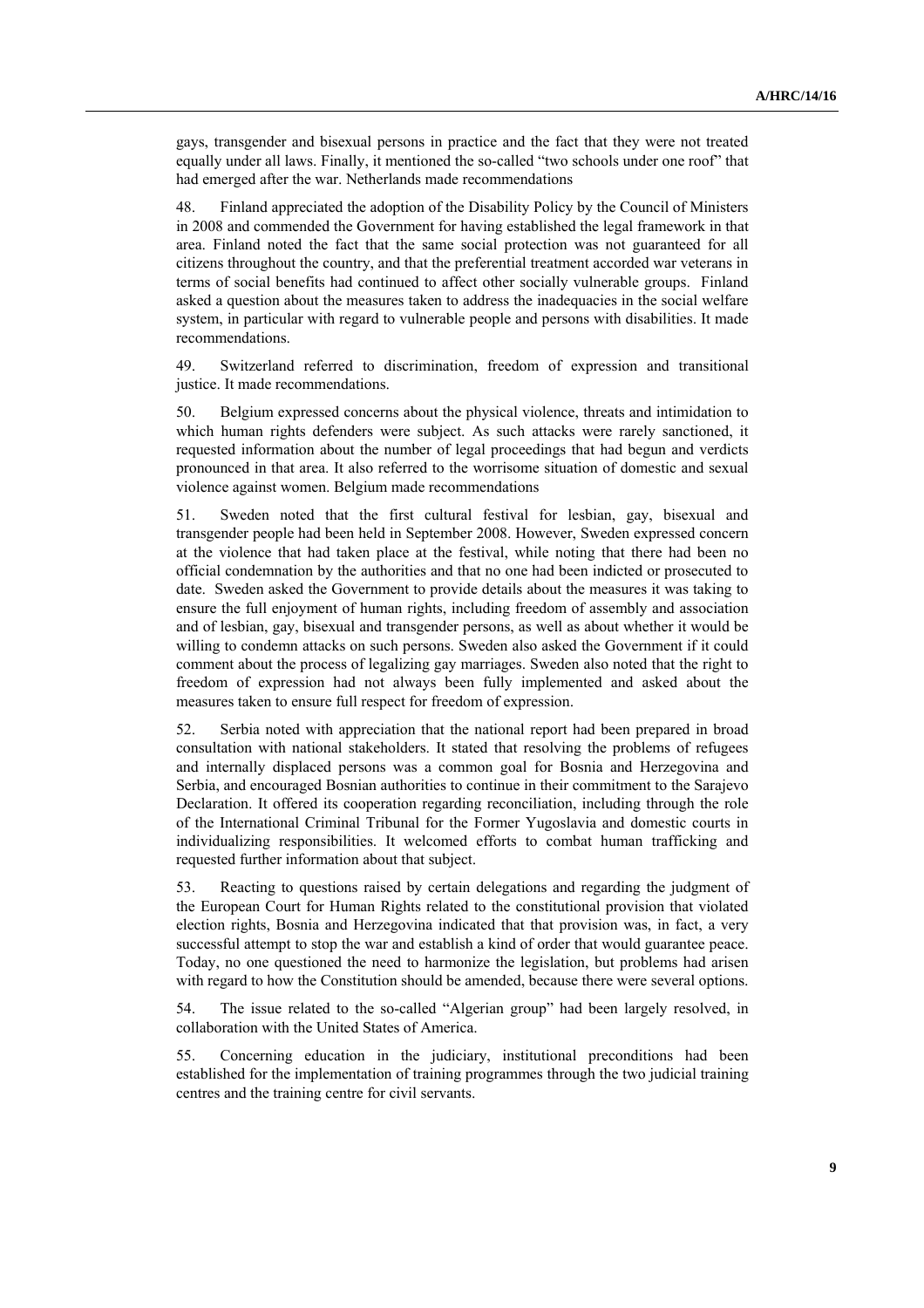gays, transgender and bisexual persons in practice and the fact that they were not treated equally under all laws. Finally, it mentioned the so-called "two schools under one roof" that had emerged after the war. Netherlands made recommendations

48. Finland appreciated the adoption of the Disability Policy by the Council of Ministers in 2008 and commended the Government for having established the legal framework in that area. Finland noted the fact that the same social protection was not guaranteed for all citizens throughout the country, and that the preferential treatment accorded war veterans in terms of social benefits had continued to affect other socially vulnerable groups. Finland asked a question about the measures taken to address the inadequacies in the social welfare system, in particular with regard to vulnerable people and persons with disabilities. It made recommendations.

49. Switzerland referred to discrimination, freedom of expression and transitional justice. It made recommendations.

50. Belgium expressed concerns about the physical violence, threats and intimidation to which human rights defenders were subject. As such attacks were rarely sanctioned, it requested information about the number of legal proceedings that had begun and verdicts pronounced in that area. It also referred to the worrisome situation of domestic and sexual violence against women. Belgium made recommendations

51. Sweden noted that the first cultural festival for lesbian, gay, bisexual and transgender people had been held in September 2008. However, Sweden expressed concern at the violence that had taken place at the festival, while noting that there had been no official condemnation by the authorities and that no one had been indicted or prosecuted to date. Sweden asked the Government to provide details about the measures it was taking to ensure the full enjoyment of human rights, including freedom of assembly and association and of lesbian, gay, bisexual and transgender persons, as well as about whether it would be willing to condemn attacks on such persons. Sweden also asked the Government if it could comment about the process of legalizing gay marriages. Sweden also noted that the right to freedom of expression had not always been fully implemented and asked about the measures taken to ensure full respect for freedom of expression.

52. Serbia noted with appreciation that the national report had been prepared in broad consultation with national stakeholders. It stated that resolving the problems of refugees and internally displaced persons was a common goal for Bosnia and Herzegovina and Serbia, and encouraged Bosnian authorities to continue in their commitment to the Sarajevo Declaration. It offered its cooperation regarding reconciliation, including through the role of the International Criminal Tribunal for the Former Yugoslavia and domestic courts in individualizing responsibilities. It welcomed efforts to combat human trafficking and requested further information about that subject.

53. Reacting to questions raised by certain delegations and regarding the judgment of the European Court for Human Rights related to the constitutional provision that violated election rights, Bosnia and Herzegovina indicated that that provision was, in fact, a very successful attempt to stop the war and establish a kind of order that would guarantee peace. Today, no one questioned the need to harmonize the legislation, but problems had arisen with regard to how the Constitution should be amended, because there were several options.

54. The issue related to the so-called "Algerian group" had been largely resolved, in collaboration with the United States of America.

55. Concerning education in the judiciary, institutional preconditions had been established for the implementation of training programmes through the two judicial training centres and the training centre for civil servants.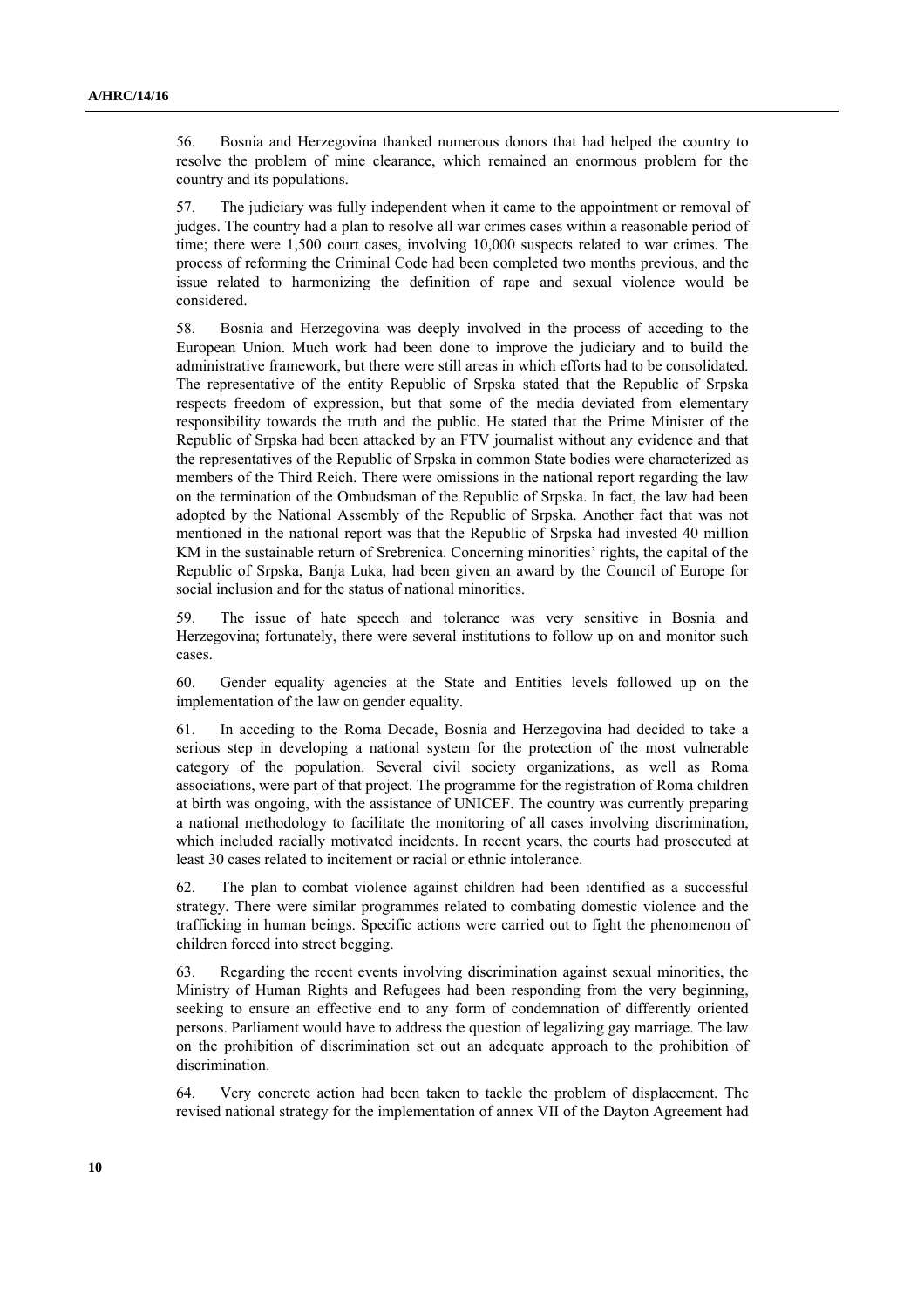56. Bosnia and Herzegovina thanked numerous donors that had helped the country to resolve the problem of mine clearance, which remained an enormous problem for the country and its populations.

57. The judiciary was fully independent when it came to the appointment or removal of judges. The country had a plan to resolve all war crimes cases within a reasonable period of time; there were 1,500 court cases, involving 10,000 suspects related to war crimes. The process of reforming the Criminal Code had been completed two months previous, and the issue related to harmonizing the definition of rape and sexual violence would be considered.

58. Bosnia and Herzegovina was deeply involved in the process of acceding to the European Union. Much work had been done to improve the judiciary and to build the administrative framework, but there were still areas in which efforts had to be consolidated. The representative of the entity Republic of Srpska stated that the Republic of Srpska respects freedom of expression, but that some of the media deviated from elementary responsibility towards the truth and the public. He stated that the Prime Minister of the Republic of Srpska had been attacked by an FTV journalist without any evidence and that the representatives of the Republic of Srpska in common State bodies were characterized as members of the Third Reich. There were omissions in the national report regarding the law on the termination of the Ombudsman of the Republic of Srpska. In fact, the law had been adopted by the National Assembly of the Republic of Srpska. Another fact that was not mentioned in the national report was that the Republic of Srpska had invested 40 million KM in the sustainable return of Srebrenica. Concerning minorities' rights, the capital of the Republic of Srpska, Banja Luka, had been given an award by the Council of Europe for social inclusion and for the status of national minorities.

59. The issue of hate speech and tolerance was very sensitive in Bosnia and Herzegovina; fortunately, there were several institutions to follow up on and monitor such cases.

60. Gender equality agencies at the State and Entities levels followed up on the implementation of the law on gender equality.

61. In acceding to the Roma Decade, Bosnia and Herzegovina had decided to take a serious step in developing a national system for the protection of the most vulnerable category of the population. Several civil society organizations, as well as Roma associations, were part of that project. The programme for the registration of Roma children at birth was ongoing, with the assistance of UNICEF. The country was currently preparing a national methodology to facilitate the monitoring of all cases involving discrimination, which included racially motivated incidents. In recent years, the courts had prosecuted at least 30 cases related to incitement or racial or ethnic intolerance.

62. The plan to combat violence against children had been identified as a successful strategy. There were similar programmes related to combating domestic violence and the trafficking in human beings. Specific actions were carried out to fight the phenomenon of children forced into street begging.

63. Regarding the recent events involving discrimination against sexual minorities, the Ministry of Human Rights and Refugees had been responding from the very beginning, seeking to ensure an effective end to any form of condemnation of differently oriented persons. Parliament would have to address the question of legalizing gay marriage. The law on the prohibition of discrimination set out an adequate approach to the prohibition of discrimination.

64. Very concrete action had been taken to tackle the problem of displacement. The revised national strategy for the implementation of annex VII of the Dayton Agreement had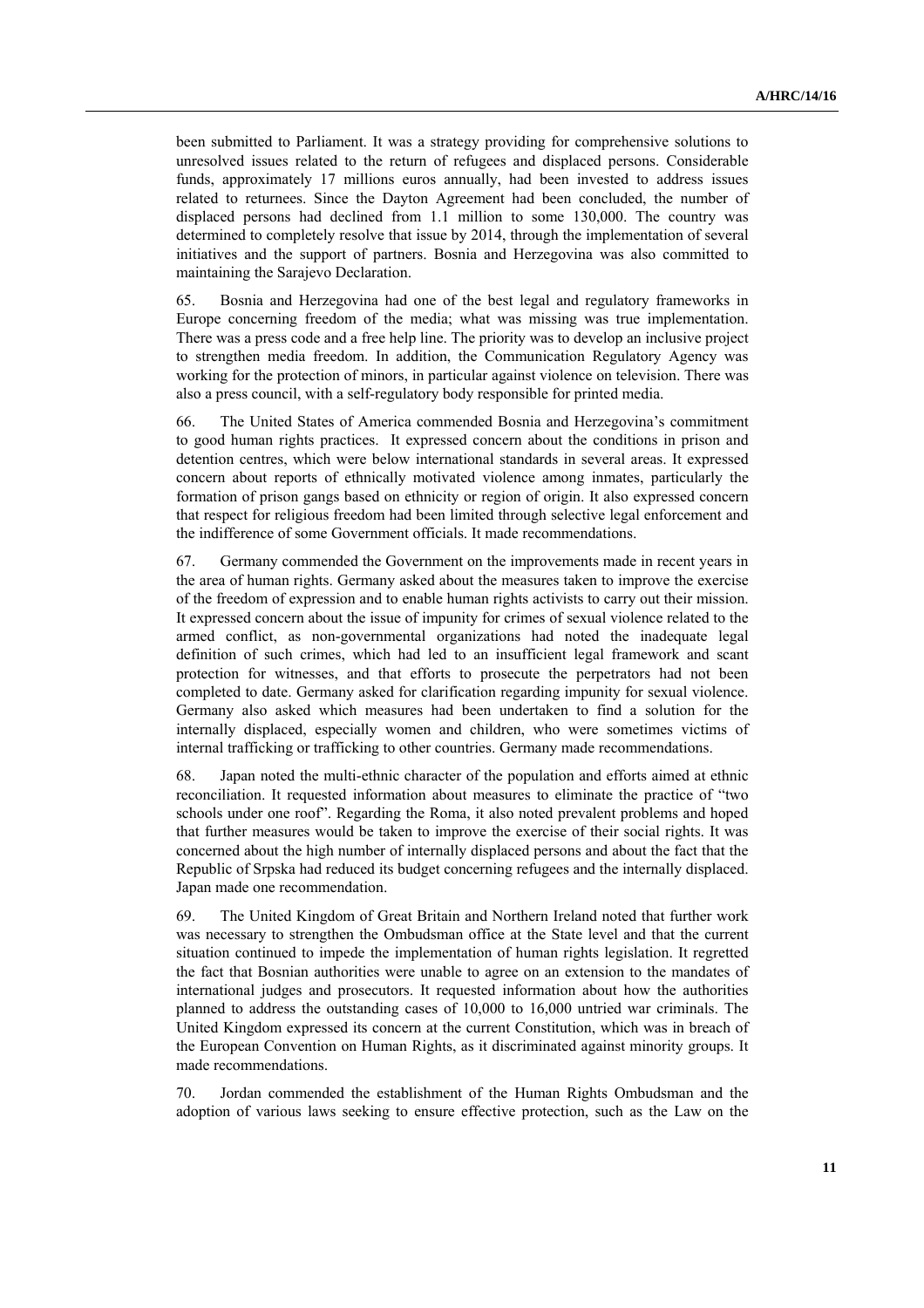been submitted to Parliament. It was a strategy providing for comprehensive solutions to unresolved issues related to the return of refugees and displaced persons. Considerable funds, approximately 17 millions euros annually, had been invested to address issues related to returnees. Since the Dayton Agreement had been concluded, the number of displaced persons had declined from 1.1 million to some 130,000. The country was determined to completely resolve that issue by 2014, through the implementation of several initiatives and the support of partners. Bosnia and Herzegovina was also committed to maintaining the Sarajevo Declaration.

65. Bosnia and Herzegovina had one of the best legal and regulatory frameworks in Europe concerning freedom of the media; what was missing was true implementation. There was a press code and a free help line. The priority was to develop an inclusive project to strengthen media freedom. In addition, the Communication Regulatory Agency was working for the protection of minors, in particular against violence on television. There was also a press council, with a self-regulatory body responsible for printed media.

66. The United States of America commended Bosnia and Herzegovina's commitment to good human rights practices. It expressed concern about the conditions in prison and detention centres, which were below international standards in several areas. It expressed concern about reports of ethnically motivated violence among inmates, particularly the formation of prison gangs based on ethnicity or region of origin. It also expressed concern that respect for religious freedom had been limited through selective legal enforcement and the indifference of some Government officials. It made recommendations.

67. Germany commended the Government on the improvements made in recent years in the area of human rights. Germany asked about the measures taken to improve the exercise of the freedom of expression and to enable human rights activists to carry out their mission. It expressed concern about the issue of impunity for crimes of sexual violence related to the armed conflict, as non-governmental organizations had noted the inadequate legal definition of such crimes, which had led to an insufficient legal framework and scant protection for witnesses, and that efforts to prosecute the perpetrators had not been completed to date. Germany asked for clarification regarding impunity for sexual violence. Germany also asked which measures had been undertaken to find a solution for the internally displaced, especially women and children, who were sometimes victims of internal trafficking or trafficking to other countries. Germany made recommendations.

68. Japan noted the multi-ethnic character of the population and efforts aimed at ethnic reconciliation. It requested information about measures to eliminate the practice of "two schools under one roof". Regarding the Roma, it also noted prevalent problems and hoped that further measures would be taken to improve the exercise of their social rights. It was concerned about the high number of internally displaced persons and about the fact that the Republic of Srpska had reduced its budget concerning refugees and the internally displaced. Japan made one recommendation.

69. The United Kingdom of Great Britain and Northern Ireland noted that further work was necessary to strengthen the Ombudsman office at the State level and that the current situation continued to impede the implementation of human rights legislation. It regretted the fact that Bosnian authorities were unable to agree on an extension to the mandates of international judges and prosecutors. It requested information about how the authorities planned to address the outstanding cases of 10,000 to 16,000 untried war criminals. The United Kingdom expressed its concern at the current Constitution, which was in breach of the European Convention on Human Rights, as it discriminated against minority groups. It made recommendations.

70. Jordan commended the establishment of the Human Rights Ombudsman and the adoption of various laws seeking to ensure effective protection, such as the Law on the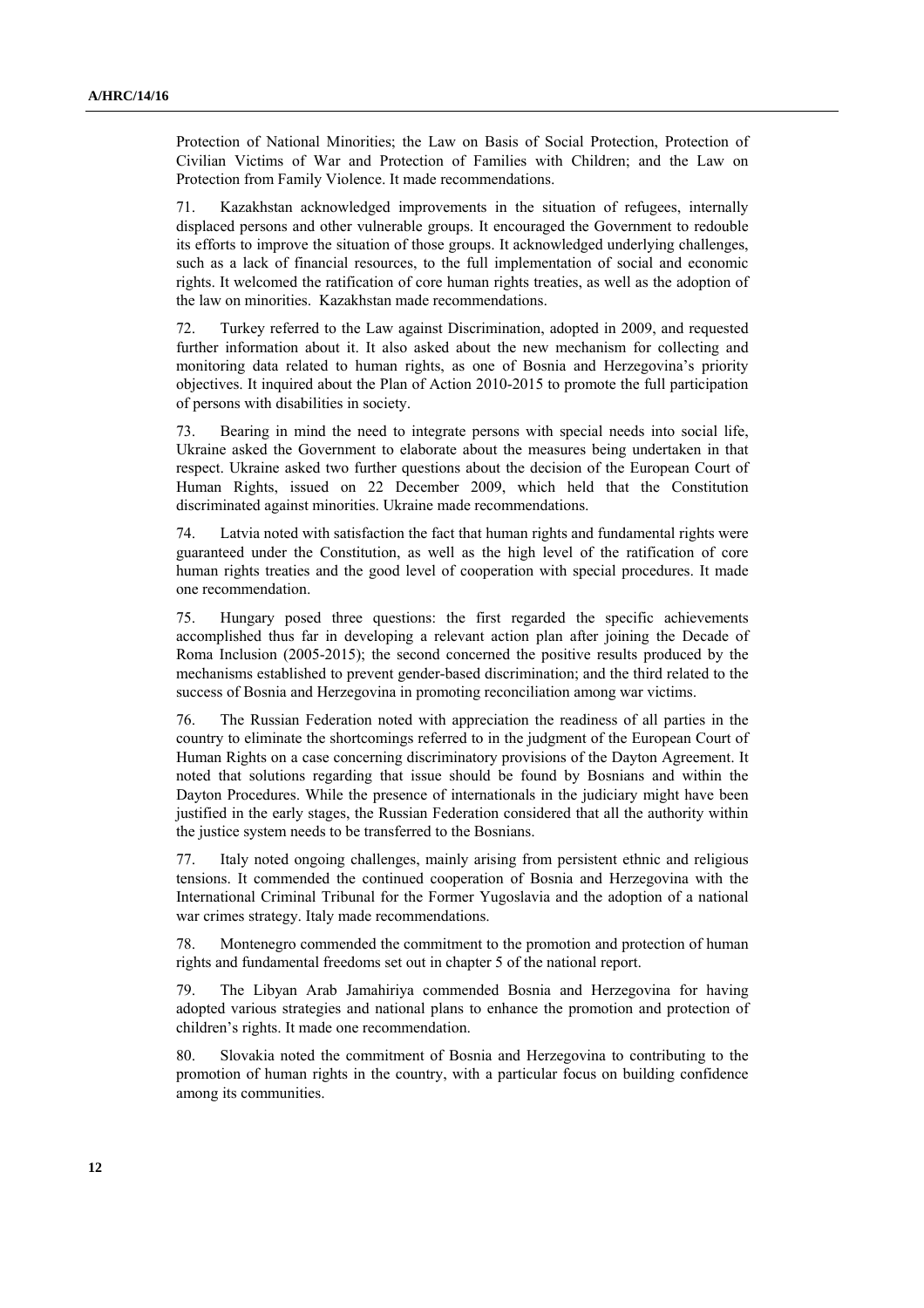Protection of National Minorities; the Law on Basis of Social Protection, Protection of Civilian Victims of War and Protection of Families with Children; and the Law on Protection from Family Violence. It made recommendations.

71. Kazakhstan acknowledged improvements in the situation of refugees, internally displaced persons and other vulnerable groups. It encouraged the Government to redouble its efforts to improve the situation of those groups. It acknowledged underlying challenges, such as a lack of financial resources, to the full implementation of social and economic rights. It welcomed the ratification of core human rights treaties, as well as the adoption of the law on minorities. Kazakhstan made recommendations.

72. Turkey referred to the Law against Discrimination, adopted in 2009, and requested further information about it. It also asked about the new mechanism for collecting and monitoring data related to human rights, as one of Bosnia and Herzegovina's priority objectives. It inquired about the Plan of Action 2010-2015 to promote the full participation of persons with disabilities in society.

73. Bearing in mind the need to integrate persons with special needs into social life, Ukraine asked the Government to elaborate about the measures being undertaken in that respect. Ukraine asked two further questions about the decision of the European Court of Human Rights, issued on 22 December 2009, which held that the Constitution discriminated against minorities. Ukraine made recommendations.

74. Latvia noted with satisfaction the fact that human rights and fundamental rights were guaranteed under the Constitution, as well as the high level of the ratification of core human rights treaties and the good level of cooperation with special procedures. It made one recommendation.

75. Hungary posed three questions: the first regarded the specific achievements accomplished thus far in developing a relevant action plan after joining the Decade of Roma Inclusion (2005-2015); the second concerned the positive results produced by the mechanisms established to prevent gender-based discrimination; and the third related to the success of Bosnia and Herzegovina in promoting reconciliation among war victims.

76. The Russian Federation noted with appreciation the readiness of all parties in the country to eliminate the shortcomings referred to in the judgment of the European Court of Human Rights on a case concerning discriminatory provisions of the Dayton Agreement. It noted that solutions regarding that issue should be found by Bosnians and within the Dayton Procedures. While the presence of internationals in the judiciary might have been justified in the early stages, the Russian Federation considered that all the authority within the justice system needs to be transferred to the Bosnians.

77. Italy noted ongoing challenges, mainly arising from persistent ethnic and religious tensions. It commended the continued cooperation of Bosnia and Herzegovina with the International Criminal Tribunal for the Former Yugoslavia and the adoption of a national war crimes strategy. Italy made recommendations.

78. Montenegro commended the commitment to the promotion and protection of human rights and fundamental freedoms set out in chapter 5 of the national report.

79. The Libyan Arab Jamahiriya commended Bosnia and Herzegovina for having adopted various strategies and national plans to enhance the promotion and protection of children's rights. It made one recommendation.

80. Slovakia noted the commitment of Bosnia and Herzegovina to contributing to the promotion of human rights in the country, with a particular focus on building confidence among its communities.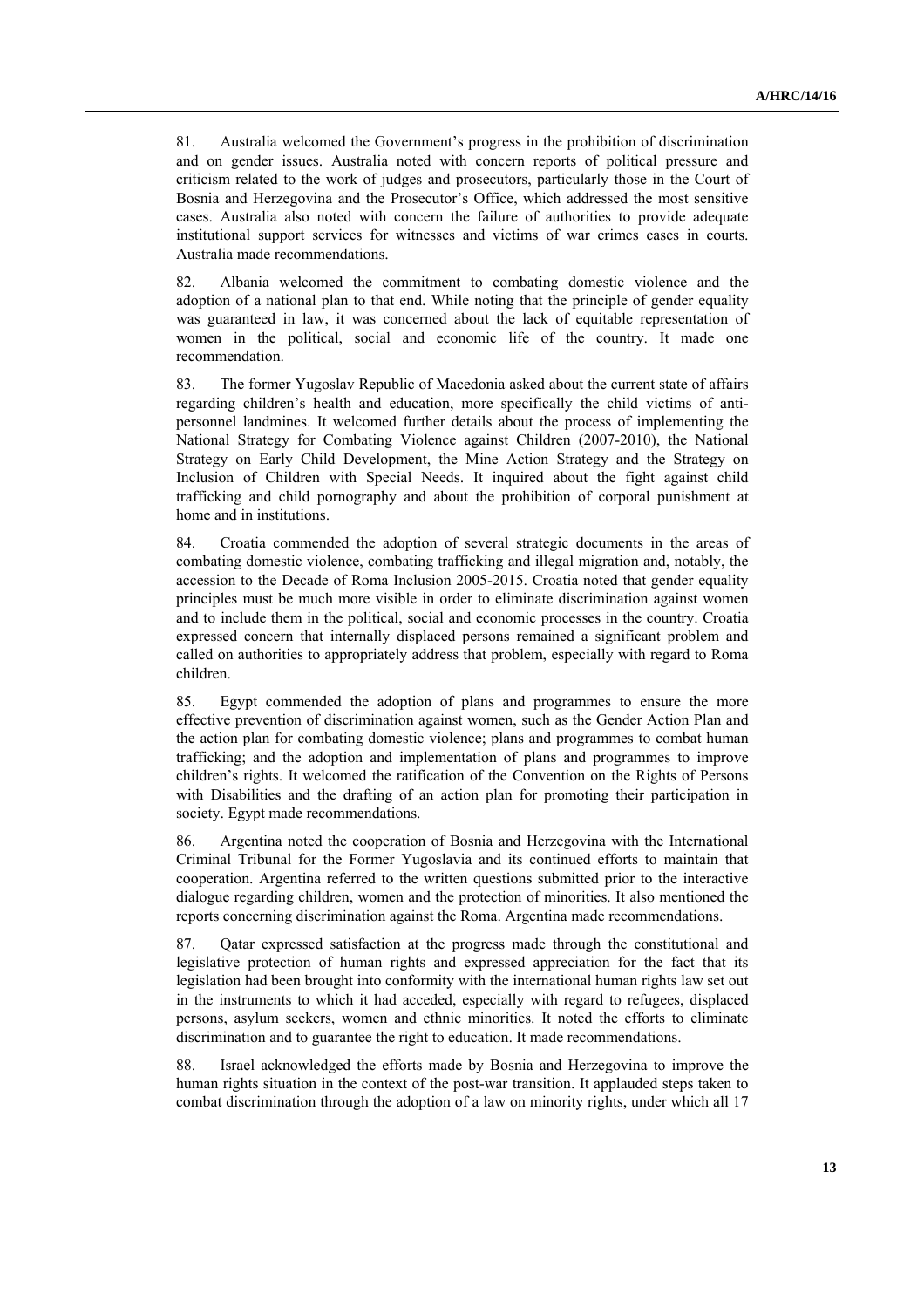81. Australia welcomed the Government's progress in the prohibition of discrimination and on gender issues. Australia noted with concern reports of political pressure and criticism related to the work of judges and prosecutors, particularly those in the Court of Bosnia and Herzegovina and the Prosecutor's Office, which addressed the most sensitive cases. Australia also noted with concern the failure of authorities to provide adequate institutional support services for witnesses and victims of war crimes cases in courts. Australia made recommendations.

82. Albania welcomed the commitment to combating domestic violence and the adoption of a national plan to that end. While noting that the principle of gender equality was guaranteed in law, it was concerned about the lack of equitable representation of women in the political, social and economic life of the country. It made one recommendation.

83. The former Yugoslav Republic of Macedonia asked about the current state of affairs regarding children's health and education, more specifically the child victims of antipersonnel landmines. It welcomed further details about the process of implementing the National Strategy for Combating Violence against Children (2007-2010), the National Strategy on Early Child Development, the Mine Action Strategy and the Strategy on Inclusion of Children with Special Needs. It inquired about the fight against child trafficking and child pornography and about the prohibition of corporal punishment at home and in institutions.

84. Croatia commended the adoption of several strategic documents in the areas of combating domestic violence, combating trafficking and illegal migration and, notably, the accession to the Decade of Roma Inclusion 2005-2015. Croatia noted that gender equality principles must be much more visible in order to eliminate discrimination against women and to include them in the political, social and economic processes in the country. Croatia expressed concern that internally displaced persons remained a significant problem and called on authorities to appropriately address that problem, especially with regard to Roma children.

85. Egypt commended the adoption of plans and programmes to ensure the more effective prevention of discrimination against women, such as the Gender Action Plan and the action plan for combating domestic violence; plans and programmes to combat human trafficking; and the adoption and implementation of plans and programmes to improve children's rights. It welcomed the ratification of the Convention on the Rights of Persons with Disabilities and the drafting of an action plan for promoting their participation in society. Egypt made recommendations.

86. Argentina noted the cooperation of Bosnia and Herzegovina with the International Criminal Tribunal for the Former Yugoslavia and its continued efforts to maintain that cooperation. Argentina referred to the written questions submitted prior to the interactive dialogue regarding children, women and the protection of minorities. It also mentioned the reports concerning discrimination against the Roma. Argentina made recommendations.

87. Qatar expressed satisfaction at the progress made through the constitutional and legislative protection of human rights and expressed appreciation for the fact that its legislation had been brought into conformity with the international human rights law set out in the instruments to which it had acceded, especially with regard to refugees, displaced persons, asylum seekers, women and ethnic minorities. It noted the efforts to eliminate discrimination and to guarantee the right to education. It made recommendations.

88. Israel acknowledged the efforts made by Bosnia and Herzegovina to improve the human rights situation in the context of the post-war transition. It applauded steps taken to combat discrimination through the adoption of a law on minority rights, under which all 17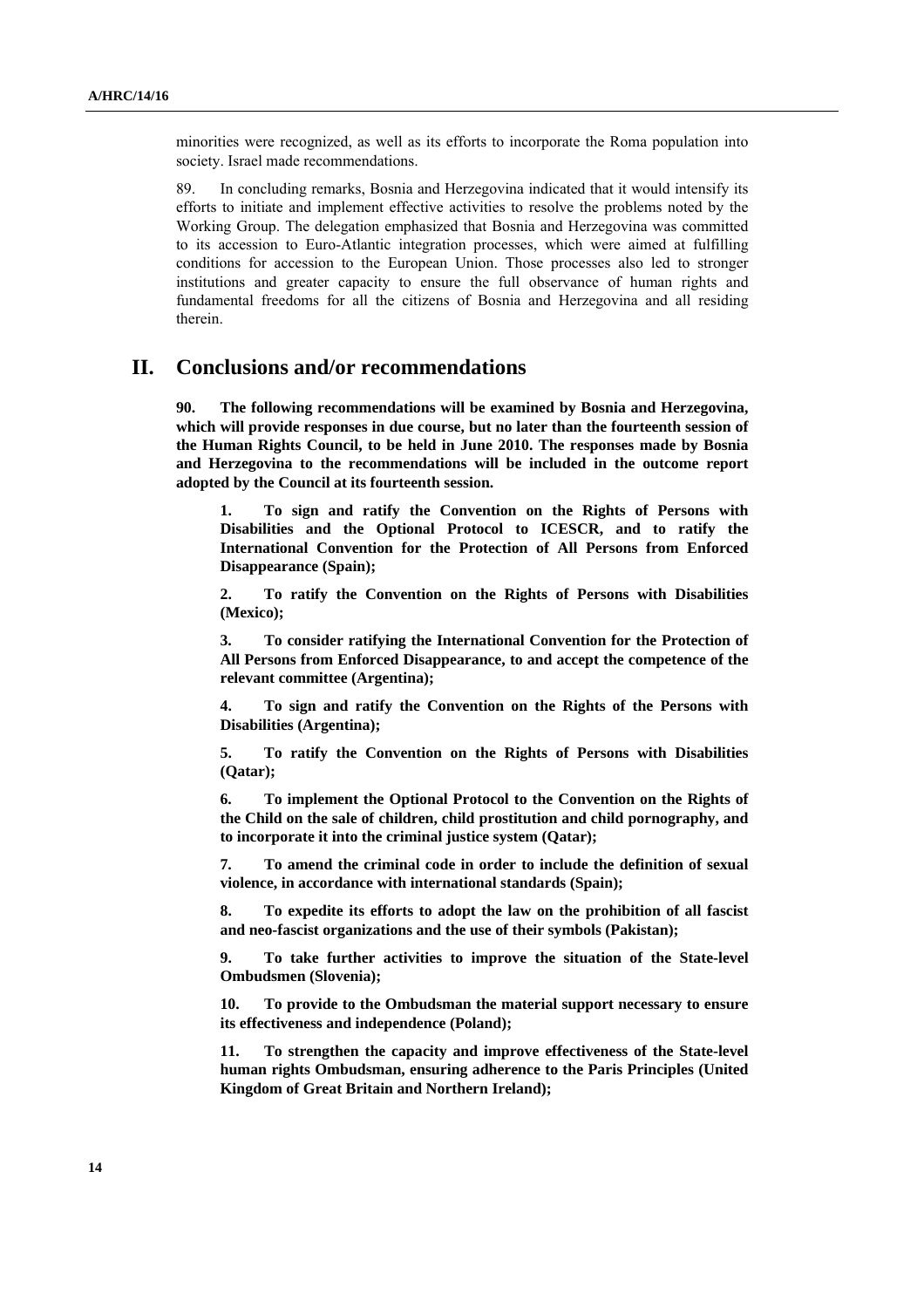minorities were recognized, as well as its efforts to incorporate the Roma population into society. Israel made recommendations.

89. In concluding remarks, Bosnia and Herzegovina indicated that it would intensify its efforts to initiate and implement effective activities to resolve the problems noted by the Working Group. The delegation emphasized that Bosnia and Herzegovina was committed to its accession to Euro-Atlantic integration processes, which were aimed at fulfilling conditions for accession to the European Union. Those processes also led to stronger institutions and greater capacity to ensure the full observance of human rights and fundamental freedoms for all the citizens of Bosnia and Herzegovina and all residing therein.

## **II. Conclusions and/or recommendations**

**90. The following recommendations will be examined by Bosnia and Herzegovina, which will provide responses in due course, but no later than the fourteenth session of the Human Rights Council, to be held in June 2010. The responses made by Bosnia and Herzegovina to the recommendations will be included in the outcome report adopted by the Council at its fourteenth session.** 

**1. To sign and ratify the Convention on the Rights of Persons with Disabilities and the Optional Protocol to ICESCR, and to ratify the International Convention for the Protection of All Persons from Enforced Disappearance (Spain);** 

**2. To ratify the Convention on the Rights of Persons with Disabilities (Mexico);** 

**3. To consider ratifying the International Convention for the Protection of All Persons from Enforced Disappearance, to and accept the competence of the relevant committee (Argentina);** 

**4. To sign and ratify the Convention on the Rights of the Persons with Disabilities (Argentina);** 

**5. To ratify the Convention on the Rights of Persons with Disabilities (Qatar);** 

**6. To implement the Optional Protocol to the Convention on the Rights of the Child on the sale of children, child prostitution and child pornography, and to incorporate it into the criminal justice system (Qatar);** 

**7. To amend the criminal code in order to include the definition of sexual violence, in accordance with international standards (Spain);** 

**8. To expedite its efforts to adopt the law on the prohibition of all fascist and neo-fascist organizations and the use of their symbols (Pakistan);** 

**9. To take further activities to improve the situation of the State-level Ombudsmen (Slovenia);** 

**10. To provide to the Ombudsman the material support necessary to ensure its effectiveness and independence (Poland);** 

**11. To strengthen the capacity and improve effectiveness of the State-level human rights Ombudsman, ensuring adherence to the Paris Principles (United Kingdom of Great Britain and Northern Ireland);**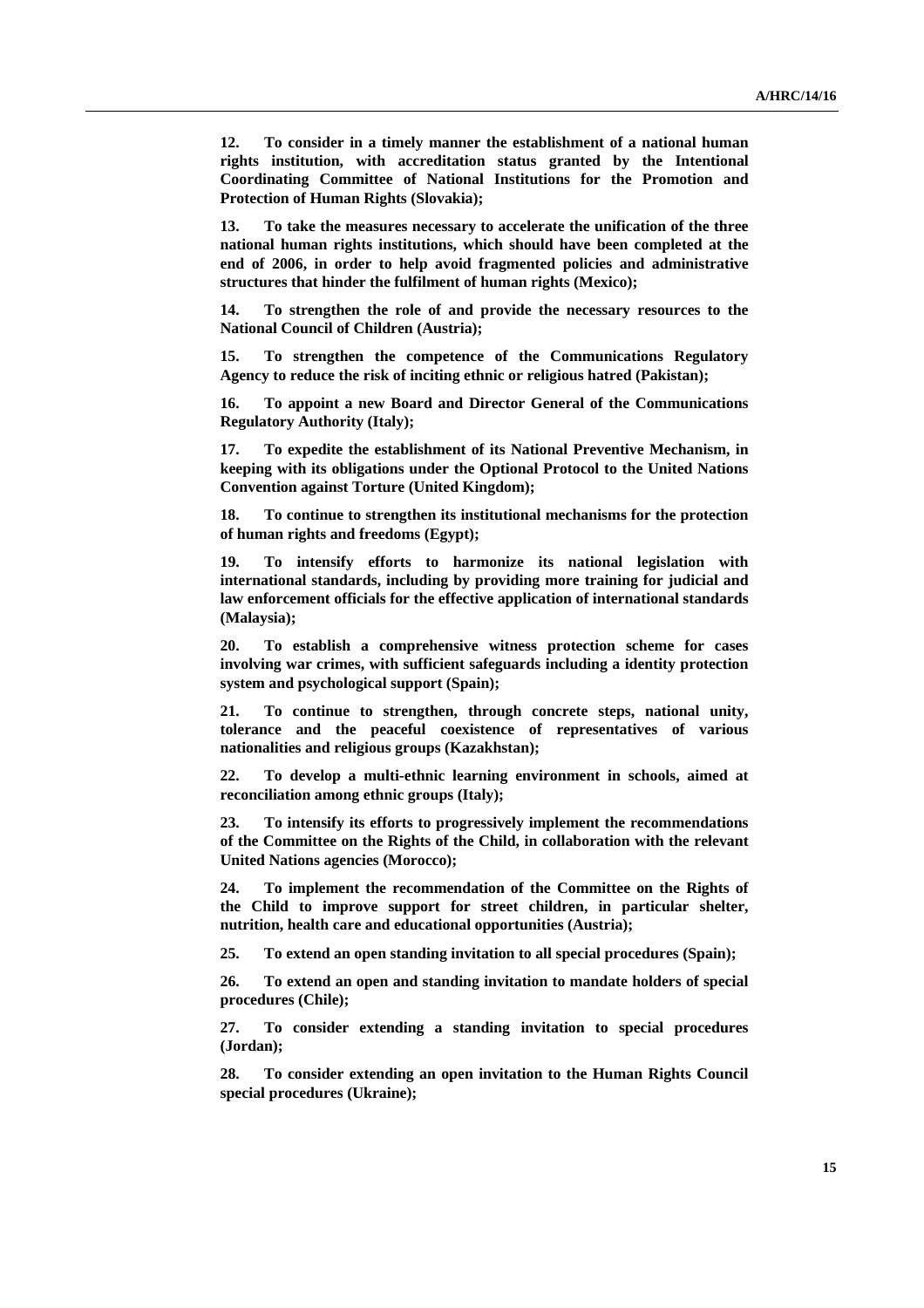**12. To consider in a timely manner the establishment of a national human rights institution, with accreditation status granted by the Intentional Coordinating Committee of National Institutions for the Promotion and Protection of Human Rights (Slovakia);** 

**13. To take the measures necessary to accelerate the unification of the three national human rights institutions, which should have been completed at the end of 2006, in order to help avoid fragmented policies and administrative structures that hinder the fulfilment of human rights (Mexico);** 

**14. To strengthen the role of and provide the necessary resources to the National Council of Children (Austria);** 

**15. To strengthen the competence of the Communications Regulatory Agency to reduce the risk of inciting ethnic or religious hatred (Pakistan);** 

**16. To appoint a new Board and Director General of the Communications Regulatory Authority (Italy);** 

**17. To expedite the establishment of its National Preventive Mechanism, in keeping with its obligations under the Optional Protocol to the United Nations Convention against Torture (United Kingdom);** 

**18. To continue to strengthen its institutional mechanisms for the protection of human rights and freedoms (Egypt);** 

**19. To intensify efforts to harmonize its national legislation with international standards, including by providing more training for judicial and law enforcement officials for the effective application of international standards (Malaysia);** 

**20. To establish a comprehensive witness protection scheme for cases involving war crimes, with sufficient safeguards including a identity protection system and psychological support (Spain);** 

**21. To continue to strengthen, through concrete steps, national unity, tolerance and the peaceful coexistence of representatives of various nationalities and religious groups (Kazakhstan);** 

**22. To develop a multi-ethnic learning environment in schools, aimed at reconciliation among ethnic groups (Italy);** 

**23. To intensify its efforts to progressively implement the recommendations of the Committee on the Rights of the Child, in collaboration with the relevant United Nations agencies (Morocco);** 

**24. To implement the recommendation of the Committee on the Rights of the Child to improve support for street children, in particular shelter, nutrition, health care and educational opportunities (Austria);** 

**25. To extend an open standing invitation to all special procedures (Spain);** 

**26. To extend an open and standing invitation to mandate holders of special procedures (Chile);** 

**27. To consider extending a standing invitation to special procedures (Jordan);** 

**28. To consider extending an open invitation to the Human Rights Council special procedures (Ukraine);**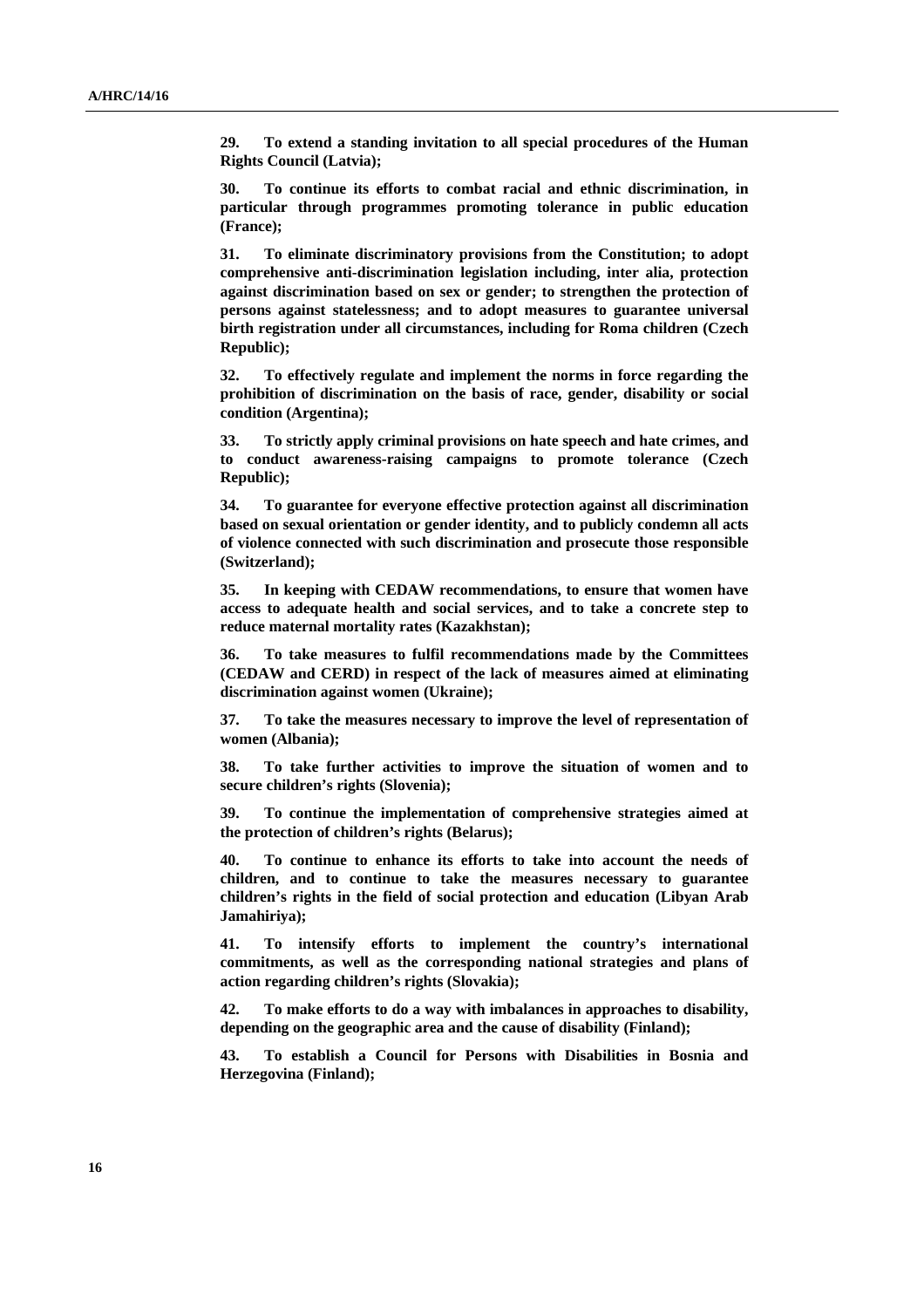**29. To extend a standing invitation to all special procedures of the Human Rights Council (Latvia);** 

**30. To continue its efforts to combat racial and ethnic discrimination, in particular through programmes promoting tolerance in public education (France);** 

**31. To eliminate discriminatory provisions from the Constitution; to adopt comprehensive anti-discrimination legislation including, inter alia, protection against discrimination based on sex or gender; to strengthen the protection of persons against statelessness; and to adopt measures to guarantee universal birth registration under all circumstances, including for Roma children (Czech Republic);** 

**32. To effectively regulate and implement the norms in force regarding the prohibition of discrimination on the basis of race, gender, disability or social condition (Argentina);** 

**33. To strictly apply criminal provisions on hate speech and hate crimes, and to conduct awareness-raising campaigns to promote tolerance (Czech Republic);** 

**34. To guarantee for everyone effective protection against all discrimination based on sexual orientation or gender identity, and to publicly condemn all acts of violence connected with such discrimination and prosecute those responsible (Switzerland);** 

**35. In keeping with CEDAW recommendations, to ensure that women have access to adequate health and social services, and to take a concrete step to reduce maternal mortality rates (Kazakhstan);** 

**36. To take measures to fulfil recommendations made by the Committees (CEDAW and CERD) in respect of the lack of measures aimed at eliminating discrimination against women (Ukraine);** 

**37. To take the measures necessary to improve the level of representation of women (Albania);** 

**38. To take further activities to improve the situation of women and to secure children's rights (Slovenia);** 

**39. To continue the implementation of comprehensive strategies aimed at the protection of children's rights (Belarus);** 

**40. To continue to enhance its efforts to take into account the needs of children, and to continue to take the measures necessary to guarantee children's rights in the field of social protection and education (Libyan Arab Jamahiriya);** 

**41. To intensify efforts to implement the country's international commitments, as well as the corresponding national strategies and plans of action regarding children's rights (Slovakia);** 

**42. To make efforts to do a way with imbalances in approaches to disability, depending on the geographic area and the cause of disability (Finland);** 

**43. To establish a Council for Persons with Disabilities in Bosnia and Herzegovina (Finland);**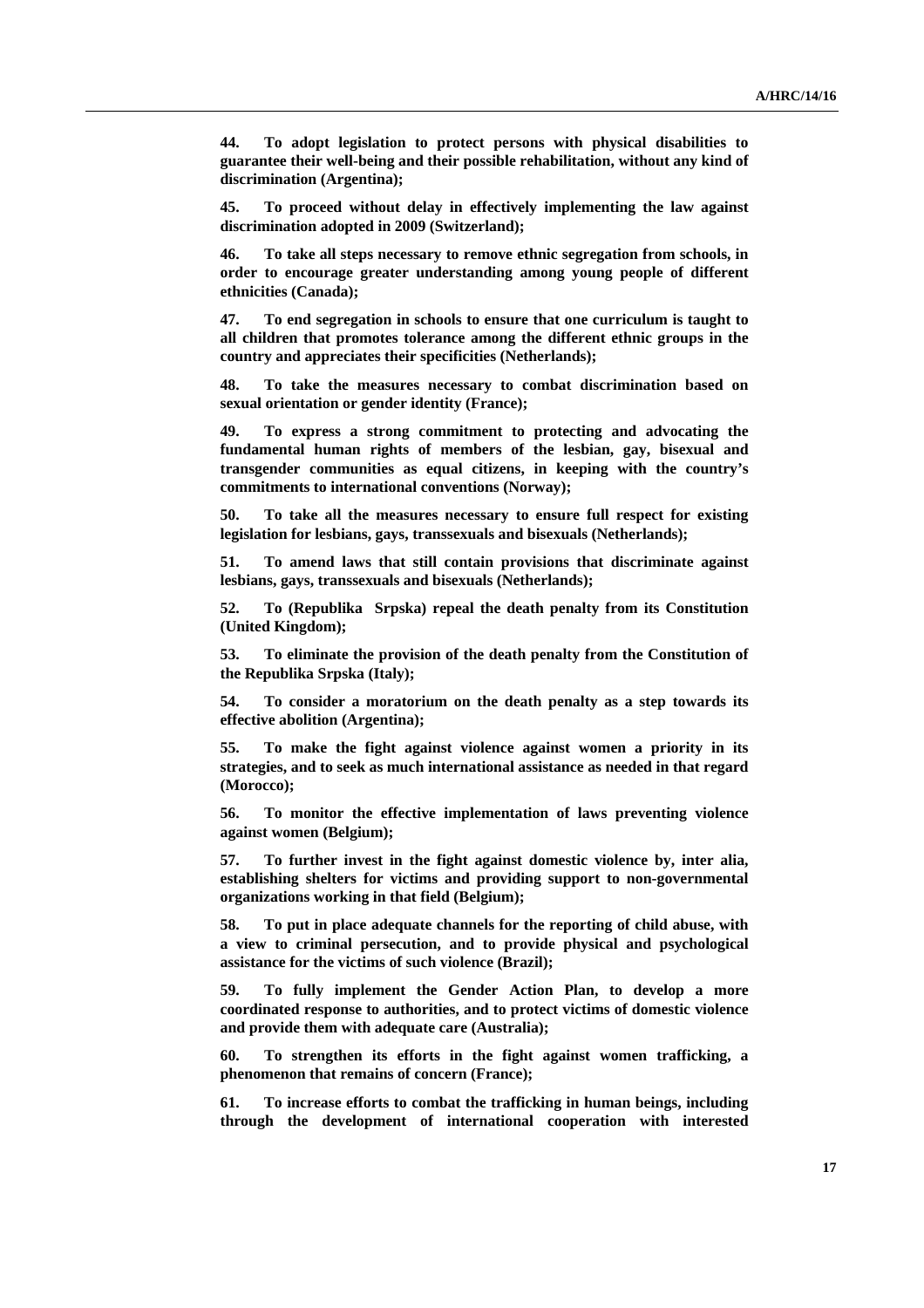**44. To adopt legislation to protect persons with physical disabilities to guarantee their well-being and their possible rehabilitation, without any kind of discrimination (Argentina);** 

**45. To proceed without delay in effectively implementing the law against discrimination adopted in 2009 (Switzerland);** 

**46. To take all steps necessary to remove ethnic segregation from schools, in order to encourage greater understanding among young people of different ethnicities (Canada);** 

**47. To end segregation in schools to ensure that one curriculum is taught to all children that promotes tolerance among the different ethnic groups in the country and appreciates their specificities (Netherlands);** 

**48. To take the measures necessary to combat discrimination based on sexual orientation or gender identity (France);** 

**49. To express a strong commitment to protecting and advocating the fundamental human rights of members of the lesbian, gay, bisexual and transgender communities as equal citizens, in keeping with the country's commitments to international conventions (Norway);** 

**50. To take all the measures necessary to ensure full respect for existing legislation for lesbians, gays, transsexuals and bisexuals (Netherlands);** 

**51. To amend laws that still contain provisions that discriminate against lesbians, gays, transsexuals and bisexuals (Netherlands);** 

**52. To (Republika Srpska) repeal the death penalty from its Constitution (United Kingdom);** 

**53. To eliminate the provision of the death penalty from the Constitution of the Republika Srpska (Italy);** 

**54. To consider a moratorium on the death penalty as a step towards its effective abolition (Argentina);** 

**55. To make the fight against violence against women a priority in its strategies, and to seek as much international assistance as needed in that regard (Morocco);** 

**56. To monitor the effective implementation of laws preventing violence against women (Belgium);** 

**57. To further invest in the fight against domestic violence by, inter alia, establishing shelters for victims and providing support to non-governmental organizations working in that field (Belgium);** 

**58. To put in place adequate channels for the reporting of child abuse, with a view to criminal persecution, and to provide physical and psychological assistance for the victims of such violence (Brazil);** 

**59. To fully implement the Gender Action Plan, to develop a more coordinated response to authorities, and to protect victims of domestic violence and provide them with adequate care (Australia);** 

**60. To strengthen its efforts in the fight against women trafficking, a phenomenon that remains of concern (France);** 

**61. To increase efforts to combat the trafficking in human beings, including through the development of international cooperation with interested**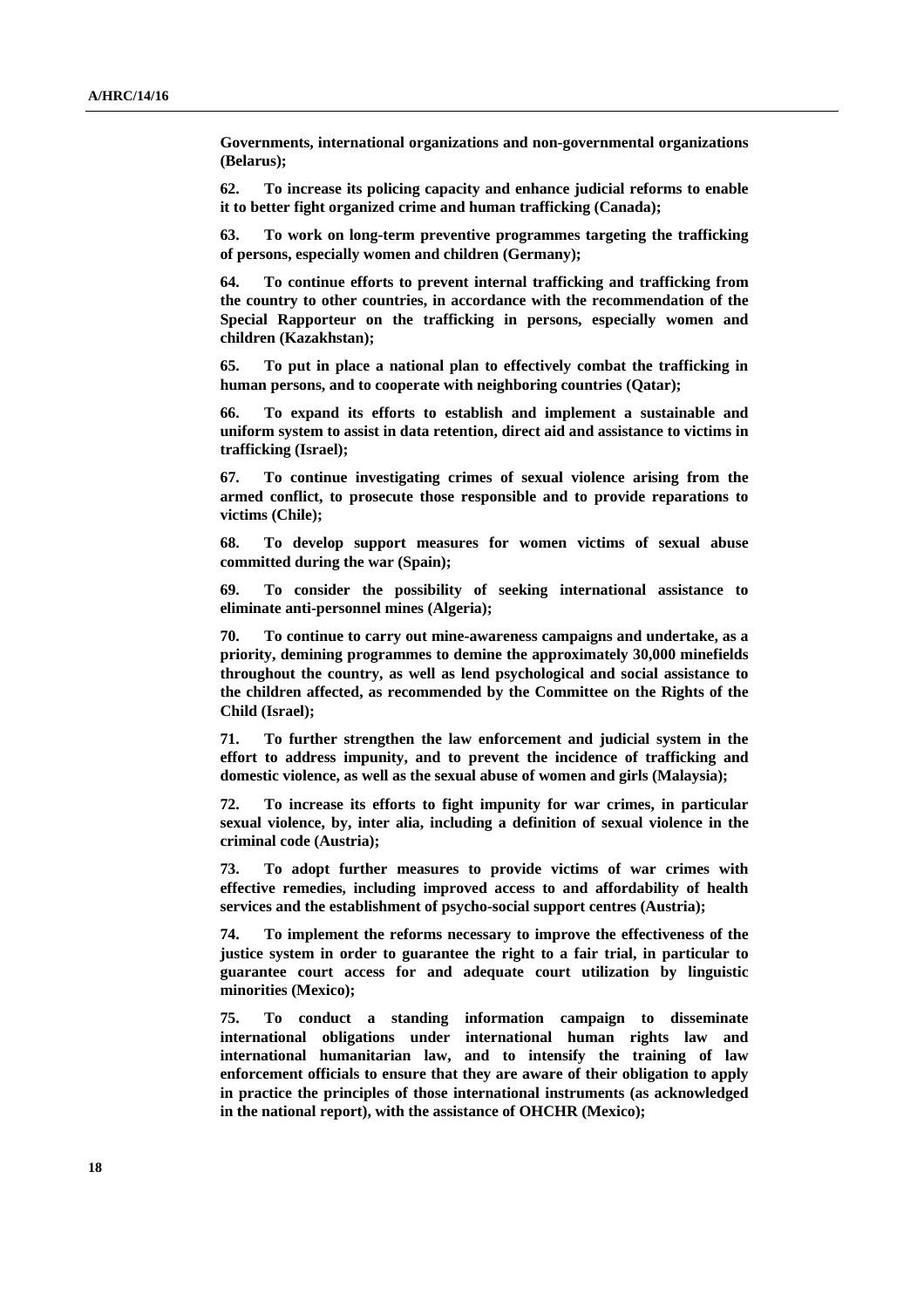**Governments, international organizations and non-governmental organizations (Belarus);** 

**62. To increase its policing capacity and enhance judicial reforms to enable it to better fight organized crime and human trafficking (Canada);** 

**63. To work on long-term preventive programmes targeting the trafficking of persons, especially women and children (Germany);** 

**64. To continue efforts to prevent internal trafficking and trafficking from the country to other countries, in accordance with the recommendation of the Special Rapporteur on the trafficking in persons, especially women and children (Kazakhstan);** 

**65. To put in place a national plan to effectively combat the trafficking in human persons, and to cooperate with neighboring countries (Qatar);** 

**66. To expand its efforts to establish and implement a sustainable and uniform system to assist in data retention, direct aid and assistance to victims in trafficking (Israel);** 

**67. To continue investigating crimes of sexual violence arising from the armed conflict, to prosecute those responsible and to provide reparations to victims (Chile);** 

**68. To develop support measures for women victims of sexual abuse committed during the war (Spain);** 

**69. To consider the possibility of seeking international assistance to eliminate anti-personnel mines (Algeria);** 

**70. To continue to carry out mine-awareness campaigns and undertake, as a priority, demining programmes to demine the approximately 30,000 minefields throughout the country, as well as lend psychological and social assistance to the children affected, as recommended by the Committee on the Rights of the Child (Israel);** 

**71. To further strengthen the law enforcement and judicial system in the effort to address impunity, and to prevent the incidence of trafficking and domestic violence, as well as the sexual abuse of women and girls (Malaysia);** 

**72. To increase its efforts to fight impunity for war crimes, in particular sexual violence, by, inter alia, including a definition of sexual violence in the criminal code (Austria);** 

**73. To adopt further measures to provide victims of war crimes with effective remedies, including improved access to and affordability of health services and the establishment of psycho-social support centres (Austria);** 

**74. To implement the reforms necessary to improve the effectiveness of the justice system in order to guarantee the right to a fair trial, in particular to guarantee court access for and adequate court utilization by linguistic minorities (Mexico);** 

**75. To conduct a standing information campaign to disseminate international obligations under international human rights law and international humanitarian law, and to intensify the training of law enforcement officials to ensure that they are aware of their obligation to apply in practice the principles of those international instruments (as acknowledged in the national report), with the assistance of OHCHR (Mexico);**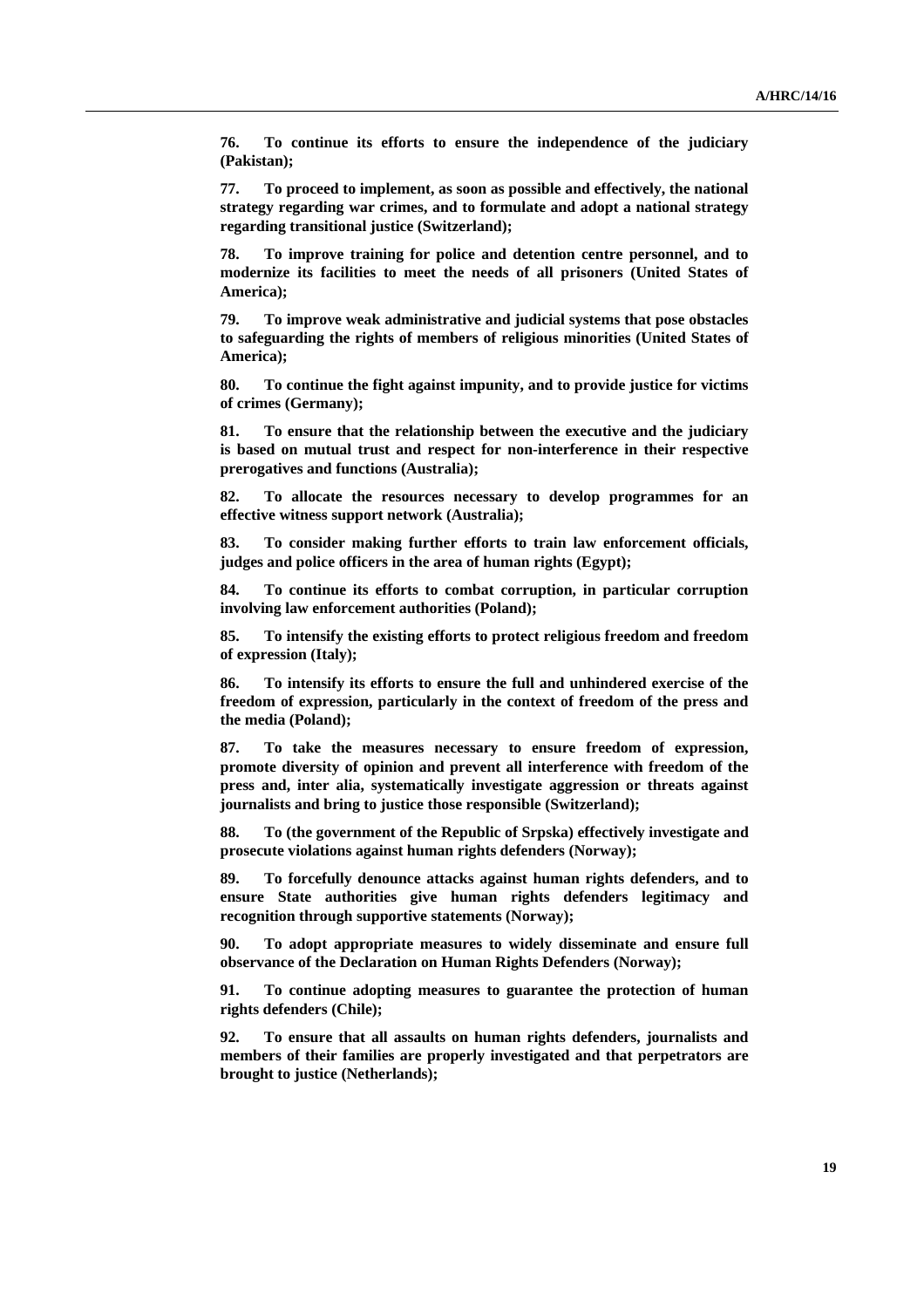**76. To continue its efforts to ensure the independence of the judiciary (Pakistan);** 

**77. To proceed to implement, as soon as possible and effectively, the national strategy regarding war crimes, and to formulate and adopt a national strategy regarding transitional justice (Switzerland);** 

**78. To improve training for police and detention centre personnel, and to modernize its facilities to meet the needs of all prisoners (United States of America);** 

**79. To improve weak administrative and judicial systems that pose obstacles to safeguarding the rights of members of religious minorities (United States of America);** 

**80. To continue the fight against impunity, and to provide justice for victims of crimes (Germany);** 

**81. To ensure that the relationship between the executive and the judiciary is based on mutual trust and respect for non-interference in their respective prerogatives and functions (Australia);** 

**82. To allocate the resources necessary to develop programmes for an effective witness support network (Australia);** 

**83. To consider making further efforts to train law enforcement officials, judges and police officers in the area of human rights (Egypt);** 

**84. To continue its efforts to combat corruption, in particular corruption involving law enforcement authorities (Poland);** 

**85. To intensify the existing efforts to protect religious freedom and freedom of expression (Italy);** 

**86. To intensify its efforts to ensure the full and unhindered exercise of the freedom of expression, particularly in the context of freedom of the press and the media (Poland);** 

**87. To take the measures necessary to ensure freedom of expression, promote diversity of opinion and prevent all interference with freedom of the press and, inter alia, systematically investigate aggression or threats against journalists and bring to justice those responsible (Switzerland);** 

**88. To (the government of the Republic of Srpska) effectively investigate and prosecute violations against human rights defenders (Norway);** 

**89. To forcefully denounce attacks against human rights defenders, and to ensure State authorities give human rights defenders legitimacy and recognition through supportive statements (Norway);** 

**90. To adopt appropriate measures to widely disseminate and ensure full observance of the Declaration on Human Rights Defenders (Norway);** 

**91. To continue adopting measures to guarantee the protection of human rights defenders (Chile);** 

**92. To ensure that all assaults on human rights defenders, journalists and members of their families are properly investigated and that perpetrators are brought to justice (Netherlands);**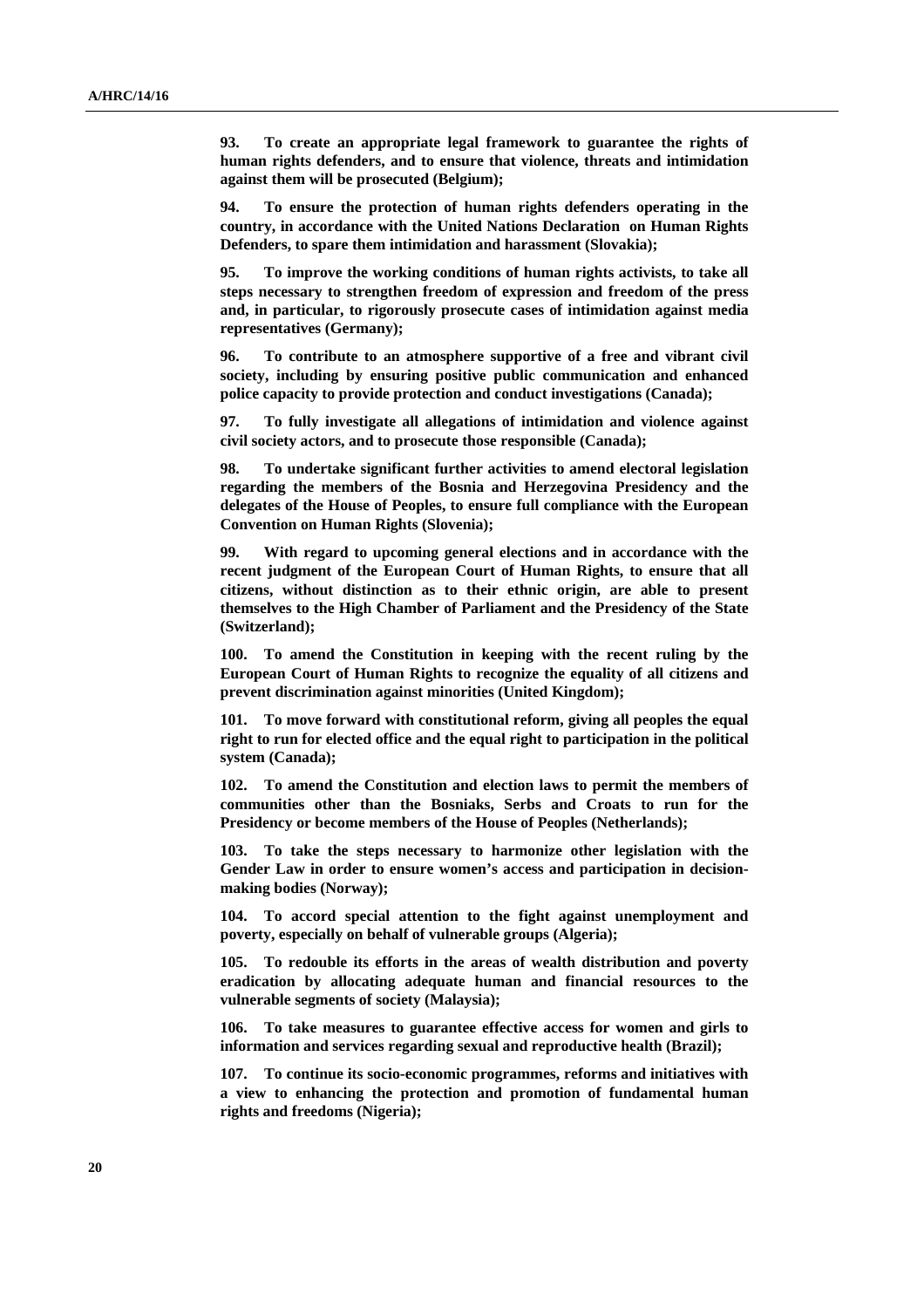**93. To create an appropriate legal framework to guarantee the rights of human rights defenders, and to ensure that violence, threats and intimidation against them will be prosecuted (Belgium);** 

**94. To ensure the protection of human rights defenders operating in the country, in accordance with the United Nations Declaration on Human Rights Defenders, to spare them intimidation and harassment (Slovakia);** 

**95. To improve the working conditions of human rights activists, to take all steps necessary to strengthen freedom of expression and freedom of the press and, in particular, to rigorously prosecute cases of intimidation against media representatives (Germany);** 

**96. To contribute to an atmosphere supportive of a free and vibrant civil society, including by ensuring positive public communication and enhanced police capacity to provide protection and conduct investigations (Canada);** 

**97. To fully investigate all allegations of intimidation and violence against civil society actors, and to prosecute those responsible (Canada);** 

**98. To undertake significant further activities to amend electoral legislation regarding the members of the Bosnia and Herzegovina Presidency and the delegates of the House of Peoples, to ensure full compliance with the European Convention on Human Rights (Slovenia);** 

**99. With regard to upcoming general elections and in accordance with the recent judgment of the European Court of Human Rights, to ensure that all citizens, without distinction as to their ethnic origin, are able to present themselves to the High Chamber of Parliament and the Presidency of the State (Switzerland);** 

**100. To amend the Constitution in keeping with the recent ruling by the European Court of Human Rights to recognize the equality of all citizens and prevent discrimination against minorities (United Kingdom);** 

**101. To move forward with constitutional reform, giving all peoples the equal right to run for elected office and the equal right to participation in the political system (Canada);** 

**102. To amend the Constitution and election laws to permit the members of communities other than the Bosniaks, Serbs and Croats to run for the Presidency or become members of the House of Peoples (Netherlands);** 

**103. To take the steps necessary to harmonize other legislation with the Gender Law in order to ensure women's access and participation in decisionmaking bodies (Norway);** 

**104. To accord special attention to the fight against unemployment and poverty, especially on behalf of vulnerable groups (Algeria);** 

**105. To redouble its efforts in the areas of wealth distribution and poverty eradication by allocating adequate human and financial resources to the vulnerable segments of society (Malaysia);** 

**106. To take measures to guarantee effective access for women and girls to information and services regarding sexual and reproductive health (Brazil);** 

**107. To continue its socio-economic programmes, reforms and initiatives with a view to enhancing the protection and promotion of fundamental human rights and freedoms (Nigeria);**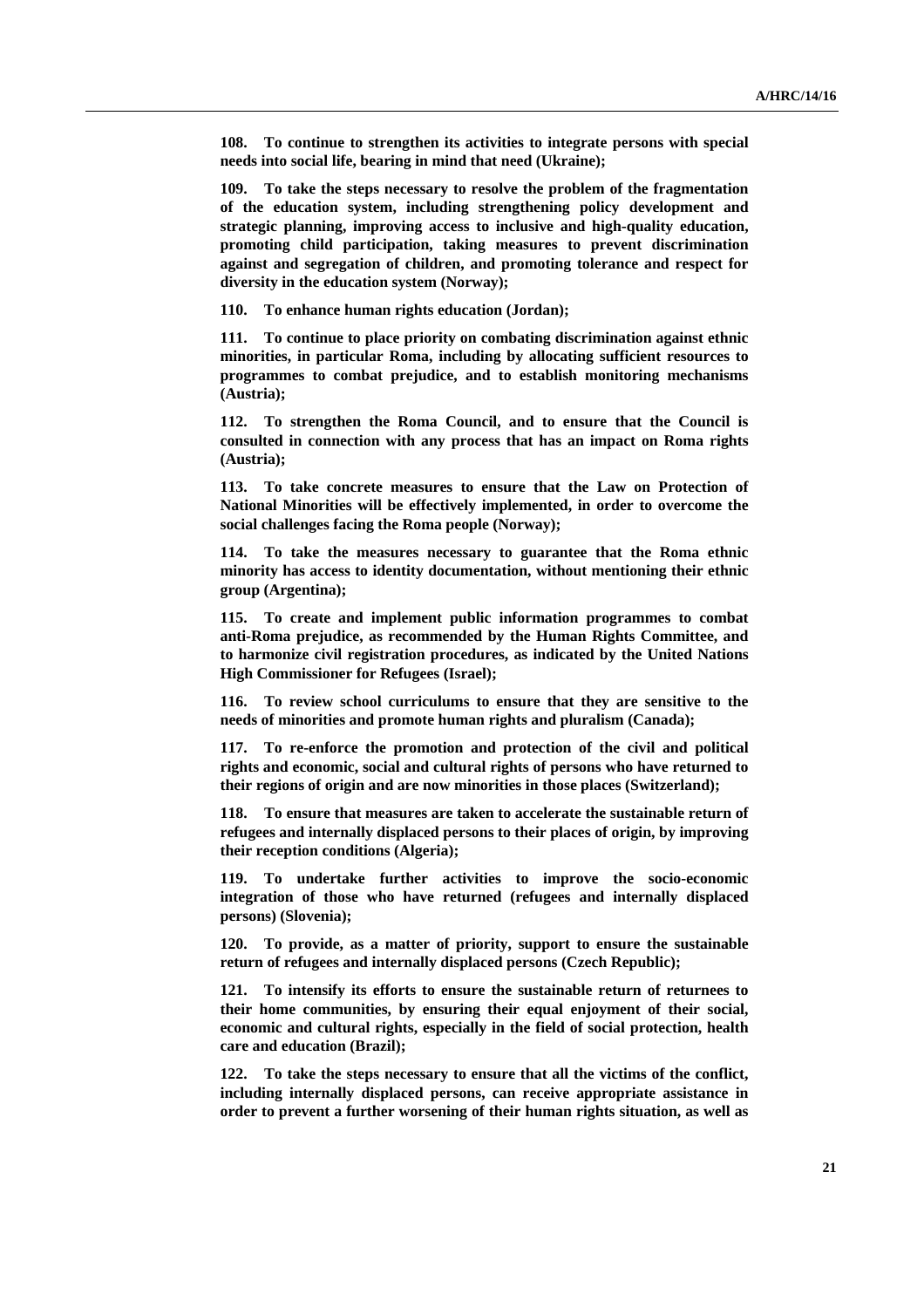**108. To continue to strengthen its activities to integrate persons with special needs into social life, bearing in mind that need (Ukraine);** 

**109. To take the steps necessary to resolve the problem of the fragmentation of the education system, including strengthening policy development and strategic planning, improving access to inclusive and high-quality education, promoting child participation, taking measures to prevent discrimination against and segregation of children, and promoting tolerance and respect for diversity in the education system (Norway);** 

**110. To enhance human rights education (Jordan);** 

**111. To continue to place priority on combating discrimination against ethnic minorities, in particular Roma, including by allocating sufficient resources to programmes to combat prejudice, and to establish monitoring mechanisms (Austria);** 

**112. To strengthen the Roma Council, and to ensure that the Council is consulted in connection with any process that has an impact on Roma rights (Austria);** 

**113. To take concrete measures to ensure that the Law on Protection of National Minorities will be effectively implemented, in order to overcome the social challenges facing the Roma people (Norway);** 

**114. To take the measures necessary to guarantee that the Roma ethnic minority has access to identity documentation, without mentioning their ethnic group (Argentina);** 

**115. To create and implement public information programmes to combat anti-Roma prejudice, as recommended by the Human Rights Committee, and to harmonize civil registration procedures, as indicated by the United Nations High Commissioner for Refugees (Israel);** 

**116. To review school curriculums to ensure that they are sensitive to the needs of minorities and promote human rights and pluralism (Canada);** 

**117. To re-enforce the promotion and protection of the civil and political rights and economic, social and cultural rights of persons who have returned to their regions of origin and are now minorities in those places (Switzerland);** 

**118. To ensure that measures are taken to accelerate the sustainable return of refugees and internally displaced persons to their places of origin, by improving their reception conditions (Algeria);** 

**119. To undertake further activities to improve the socio-economic integration of those who have returned (refugees and internally displaced persons) (Slovenia);** 

**120. To provide, as a matter of priority, support to ensure the sustainable return of refugees and internally displaced persons (Czech Republic);** 

**121. To intensify its efforts to ensure the sustainable return of returnees to their home communities, by ensuring their equal enjoyment of their social, economic and cultural rights, especially in the field of social protection, health care and education (Brazil);** 

**122. To take the steps necessary to ensure that all the victims of the conflict, including internally displaced persons, can receive appropriate assistance in order to prevent a further worsening of their human rights situation, as well as**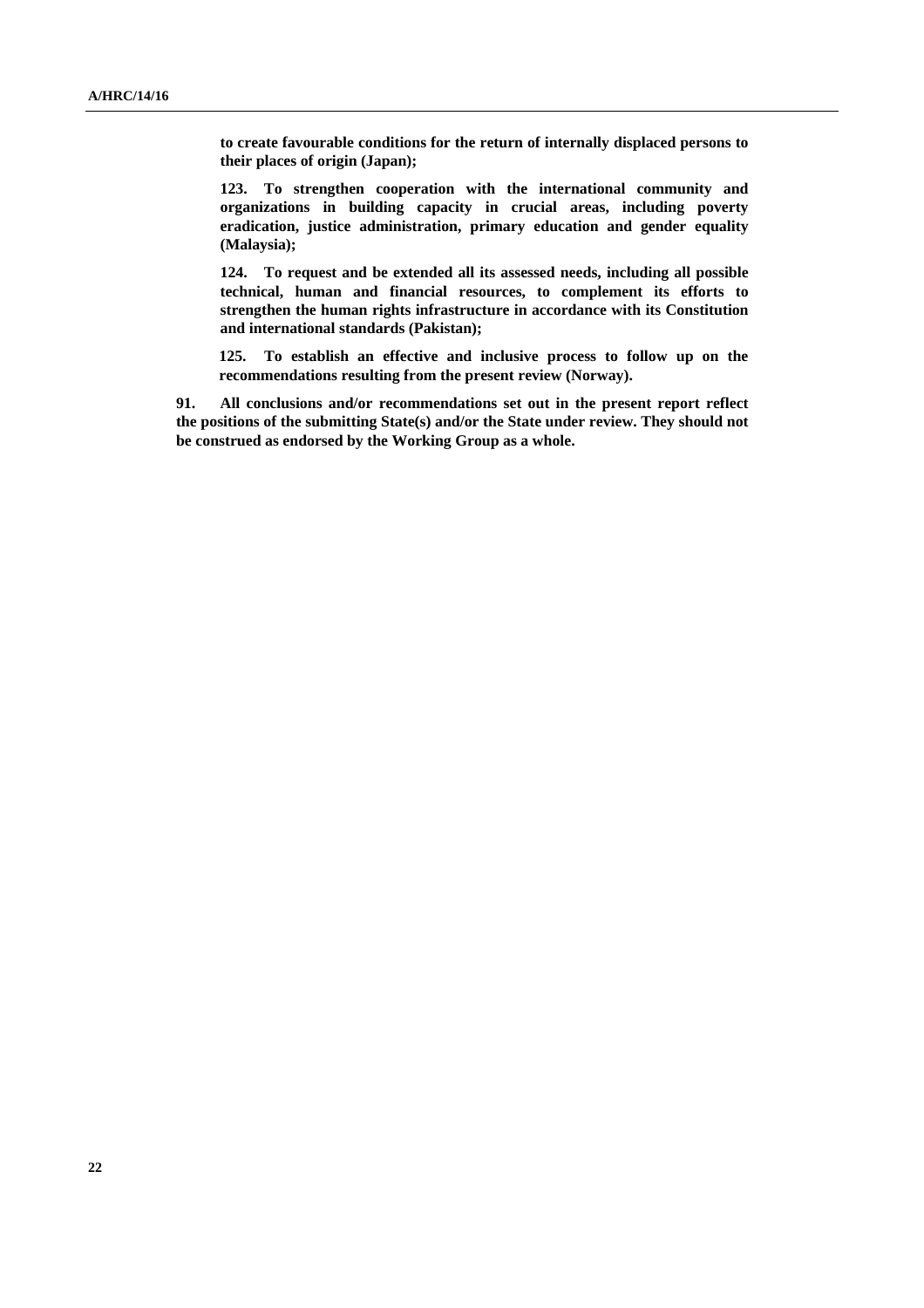**to create favourable conditions for the return of internally displaced persons to their places of origin (Japan);** 

**123. To strengthen cooperation with the international community and organizations in building capacity in crucial areas, including poverty eradication, justice administration, primary education and gender equality (Malaysia);** 

**124. To request and be extended all its assessed needs, including all possible technical, human and financial resources, to complement its efforts to strengthen the human rights infrastructure in accordance with its Constitution and international standards (Pakistan);** 

**125. To establish an effective and inclusive process to follow up on the recommendations resulting from the present review (Norway).** 

**91. All conclusions and/or recommendations set out in the present report reflect the positions of the submitting State(s) and/or the State under review. They should not be construed as endorsed by the Working Group as a whole.**